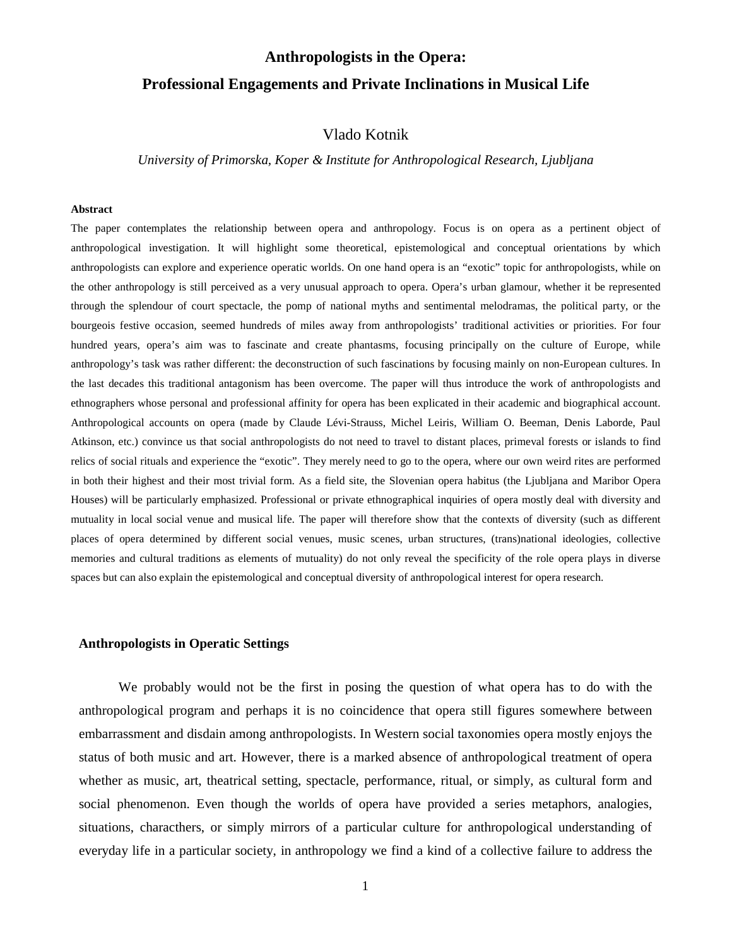# **Anthropologists in the Opera: Professional Engagements and Private Inclinations in Musical Life**

# Vlado Kotnik

*University of Primorska, Koper & Institute for Anthropological Research, Ljubljana* 

#### **Abstract**

The paper contemplates the relationship between opera and anthropology. Focus is on opera as a pertinent object of anthropological investigation. It will highlight some theoretical, epistemological and conceptual orientations by which anthropologists can explore and experience operatic worlds. On one hand opera is an "exotic" topic for anthropologists, while on the other anthropology is still perceived as a very unusual approach to opera. Opera's urban glamour, whether it be represented through the splendour of court spectacle, the pomp of national myths and sentimental melodramas, the political party, or the bourgeois festive occasion, seemed hundreds of miles away from anthropologists' traditional activities or priorities. For four hundred years, opera's aim was to fascinate and create phantasms, focusing principally on the culture of Europe, while anthropology's task was rather different: the deconstruction of such fascinations by focusing mainly on non-European cultures. In the last decades this traditional antagonism has been overcome. The paper will thus introduce the work of anthropologists and ethnographers whose personal and professional affinity for opera has been explicated in their academic and biographical account. Anthropological accounts on opera (made by Claude Lévi-Strauss, Michel Leiris, William O. Beeman, Denis Laborde, Paul Atkinson, etc.) convince us that social anthropologists do not need to travel to distant places, primeval forests or islands to find relics of social rituals and experience the "exotic". They merely need to go to the opera, where our own weird rites are performed in both their highest and their most trivial form. As a field site, the Slovenian opera habitus (the Ljubljana and Maribor Opera Houses) will be particularly emphasized. Professional or private ethnographical inquiries of opera mostly deal with diversity and mutuality in local social venue and musical life. The paper will therefore show that the contexts of diversity (such as different places of opera determined by different social venues, music scenes, urban structures, (trans)national ideologies, collective memories and cultural traditions as elements of mutuality) do not only reveal the specificity of the role opera plays in diverse spaces but can also explain the epistemological and conceptual diversity of anthropological interest for opera research.

#### **Anthropologists in Operatic Settings**

We probably would not be the first in posing the question of what opera has to do with the anthropological program and perhaps it is no coincidence that opera still figures somewhere between embarrassment and disdain among anthropologists. In Western social taxonomies opera mostly enjoys the status of both music and art. However, there is a marked absence of anthropological treatment of opera whether as music, art, theatrical setting, spectacle, performance, ritual, or simply, as cultural form and social phenomenon. Even though the worlds of opera have provided a series metaphors, analogies, situations, characthers, or simply mirrors of a particular culture for anthropological understanding of everyday life in a particular society, in anthropology we find a kind of a collective failure to address the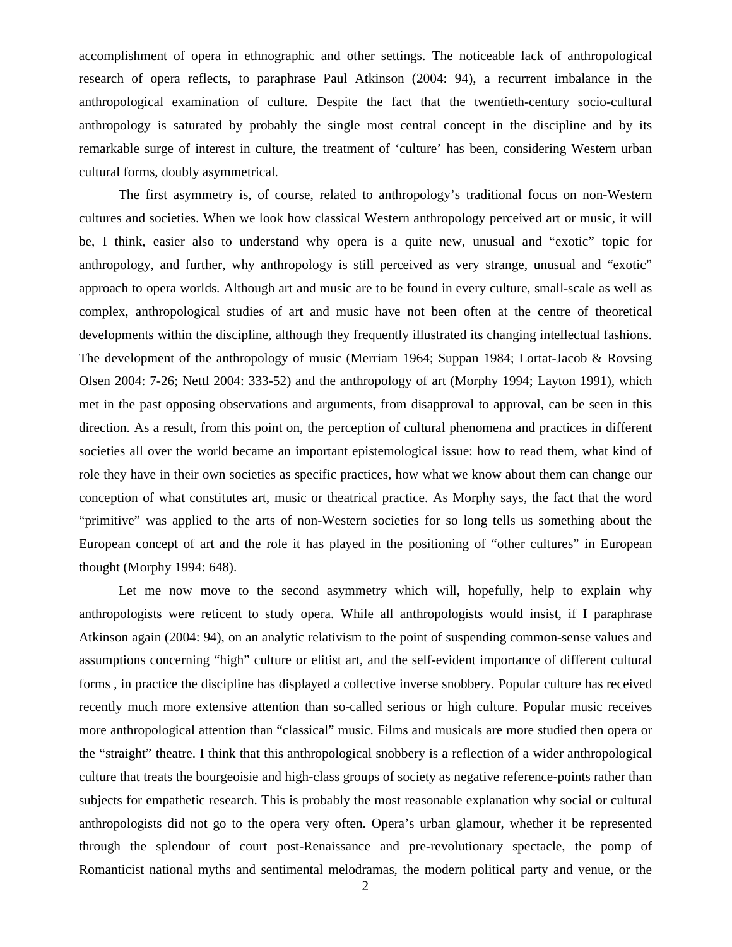accomplishment of opera in ethnographic and other settings. The noticeable lack of anthropological research of opera reflects, to paraphrase Paul Atkinson (2004: 94), a recurrent imbalance in the anthropological examination of culture. Despite the fact that the twentieth-century socio-cultural anthropology is saturated by probably the single most central concept in the discipline and by its remarkable surge of interest in culture, the treatment of 'culture' has been, considering Western urban cultural forms, doubly asymmetrical.

The first asymmetry is, of course, related to anthropology's traditional focus on non-Western cultures and societies. When we look how classical Western anthropology perceived art or music, it will be, I think, easier also to understand why opera is a quite new, unusual and "exotic" topic for anthropology, and further, why anthropology is still perceived as very strange, unusual and "exotic" approach to opera worlds. Although art and music are to be found in every culture, small-scale as well as complex, anthropological studies of art and music have not been often at the centre of theoretical developments within the discipline, although they frequently illustrated its changing intellectual fashions. The development of the anthropology of music (Merriam 1964; Suppan 1984; Lortat-Jacob & Rovsing Olsen 2004: 7-26; Nettl 2004: 333-52) and the anthropology of art (Morphy 1994; Layton 1991), which met in the past opposing observations and arguments, from disapproval to approval, can be seen in this direction. As a result, from this point on, the perception of cultural phenomena and practices in different societies all over the world became an important epistemological issue: how to read them, what kind of role they have in their own societies as specific practices, how what we know about them can change our conception of what constitutes art, music or theatrical practice. As Morphy says, the fact that the word "primitive" was applied to the arts of non-Western societies for so long tells us something about the European concept of art and the role it has played in the positioning of "other cultures" in European thought (Morphy 1994: 648).

Let me now move to the second asymmetry which will, hopefully, help to explain why anthropologists were reticent to study opera. While all anthropologists would insist, if I paraphrase Atkinson again (2004: 94), on an analytic relativism to the point of suspending common-sense values and assumptions concerning "high" culture or elitist art, and the self-evident importance of different cultural forms , in practice the discipline has displayed a collective inverse snobbery. Popular culture has received recently much more extensive attention than so-called serious or high culture. Popular music receives more anthropological attention than "classical" music. Films and musicals are more studied then opera or the "straight" theatre. I think that this anthropological snobbery is a reflection of a wider anthropological culture that treats the bourgeoisie and high-class groups of society as negative reference-points rather than subjects for empathetic research. This is probably the most reasonable explanation why social or cultural anthropologists did not go to the opera very often. Opera's urban glamour, whether it be represented through the splendour of court post-Renaissance and pre-revolutionary spectacle, the pomp of Romanticist national myths and sentimental melodramas, the modern political party and venue, or the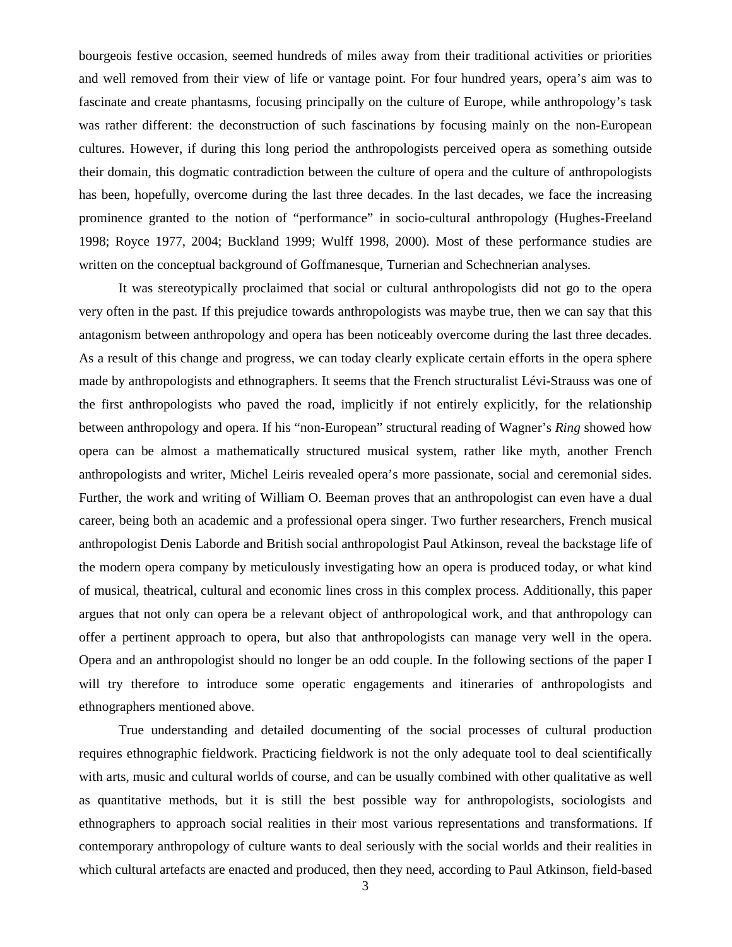bourgeois festive occasion, seemed hundreds of miles away from their traditional activities or priorities and well removed from their view of life or vantage point. For four hundred years, opera's aim was to fascinate and create phantasms, focusing principally on the culture of Europe, while anthropology's task was rather different: the deconstruction of such fascinations by focusing mainly on the non-European cultures. However, if during this long period the anthropologists perceived opera as something outside their domain, this dogmatic contradiction between the culture of opera and the culture of anthropologists has been, hopefully, overcome during the last three decades. In the last decades, we face the increasing prominence granted to the notion of "performance" in socio-cultural anthropology (Hughes-Freeland 1998; Royce 1977, 2004; Buckland 1999; Wulff 1998, 2000). Most of these performance studies are written on the conceptual background of Goffmanesque, Turnerian and Schechnerian analyses.

It was stereotypically proclaimed that social or cultural anthropologists did not go to the opera very often in the past. If this prejudice towards anthropologists was maybe true, then we can say that this antagonism between anthropology and opera has been noticeably overcome during the last three decades. As a result of this change and progress, we can today clearly explicate certain efforts in the opera sphere made by anthropologists and ethnographers. It seems that the French structuralist Lévi-Strauss was one of the first anthropologists who paved the road, implicitly if not entirely explicitly, for the relationship between anthropology and opera. If his "non-European" structural reading of Wagner's *Ring* showed how opera can be almost a mathematically structured musical system, rather like myth, another French anthropologists and writer, Michel Leiris revealed opera's more passionate, social and ceremonial sides. Further, the work and writing of William O. Beeman proves that an anthropologist can even have a dual career, being both an academic and a professional opera singer. Two further researchers, French musical anthropologist Denis Laborde and British social anthropologist Paul Atkinson, reveal the backstage life of the modern opera company by meticulously investigating how an opera is produced today, or what kind of musical, theatrical, cultural and economic lines cross in this complex process. Additionally, this paper argues that not only can opera be a relevant object of anthropological work, and that anthropology can offer a pertinent approach to opera, but also that anthropologists can manage very well in the opera. Opera and an anthropologist should no longer be an odd couple. In the following sections of the paper I will try therefore to introduce some operatic engagements and itineraries of anthropologists and ethnographers mentioned above.

True understanding and detailed documenting of the social processes of cultural production requires ethnographic fieldwork. Practicing fieldwork is not the only adequate tool to deal scientifically with arts, music and cultural worlds of course, and can be usually combined with other qualitative as well as quantitative methods, but it is still the best possible way for anthropologists, sociologists and ethnographers to approach social realities in their most various representations and transformations. If contemporary anthropology of culture wants to deal seriously with the social worlds and their realities in which cultural artefacts are enacted and produced, then they need, according to Paul Atkinson, field-based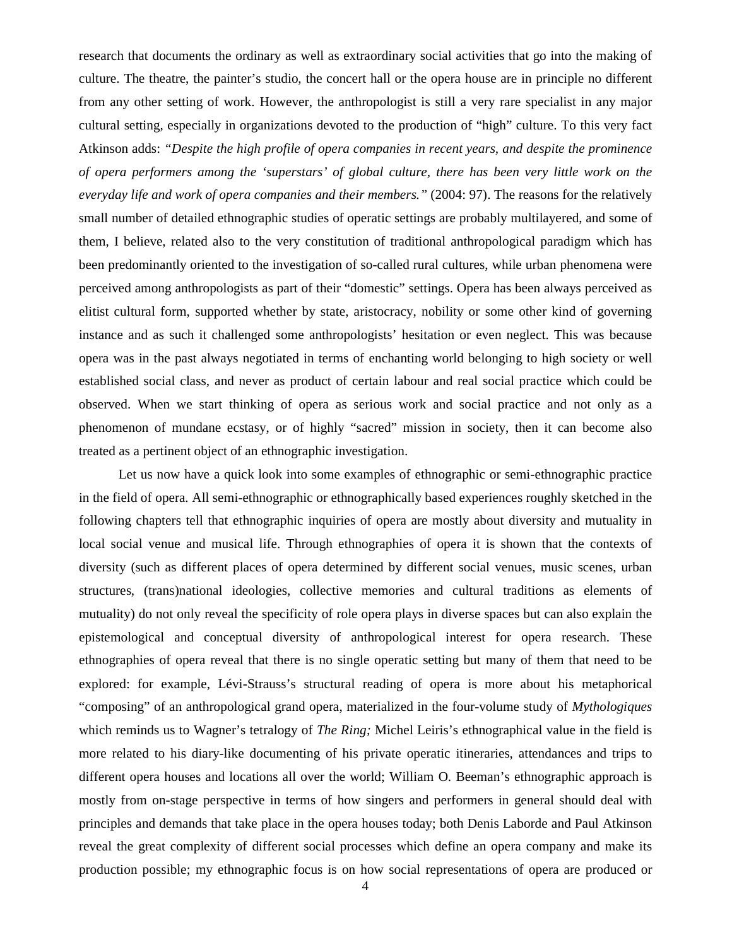research that documents the ordinary as well as extraordinary social activities that go into the making of culture. The theatre, the painter's studio, the concert hall or the opera house are in principle no different from any other setting of work. However, the anthropologist is still a very rare specialist in any major cultural setting, especially in organizations devoted to the production of "high" culture. To this very fact Atkinson adds: *"Despite the high profile of opera companies in recent years, and despite the prominence of opera performers among the 'superstars' of global culture, there has been very little work on the everyday life and work of opera companies and their members."* (2004: 97). The reasons for the relatively small number of detailed ethnographic studies of operatic settings are probably multilayered, and some of them, I believe, related also to the very constitution of traditional anthropological paradigm which has been predominantly oriented to the investigation of so-called rural cultures, while urban phenomena were perceived among anthropologists as part of their "domestic" settings. Opera has been always perceived as elitist cultural form, supported whether by state, aristocracy, nobility or some other kind of governing instance and as such it challenged some anthropologists' hesitation or even neglect. This was because opera was in the past always negotiated in terms of enchanting world belonging to high society or well established social class, and never as product of certain labour and real social practice which could be observed. When we start thinking of opera as serious work and social practice and not only as a phenomenon of mundane ecstasy, or of highly "sacred" mission in society, then it can become also treated as a pertinent object of an ethnographic investigation.

Let us now have a quick look into some examples of ethnographic or semi-ethnographic practice in the field of opera. All semi-ethnographic or ethnographically based experiences roughly sketched in the following chapters tell that ethnographic inquiries of opera are mostly about diversity and mutuality in local social venue and musical life. Through ethnographies of opera it is shown that the contexts of diversity (such as different places of opera determined by different social venues, music scenes, urban structures, (trans)national ideologies, collective memories and cultural traditions as elements of mutuality) do not only reveal the specificity of role opera plays in diverse spaces but can also explain the epistemological and conceptual diversity of anthropological interest for opera research. These ethnographies of opera reveal that there is no single operatic setting but many of them that need to be explored: for example, Lévi-Strauss's structural reading of opera is more about his metaphorical "composing" of an anthropological grand opera, materialized in the four-volume study of *Mythologiques*  which reminds us to Wagner's tetralogy of *The Ring;* Michel Leiris's ethnographical value in the field is more related to his diary-like documenting of his private operatic itineraries, attendances and trips to different opera houses and locations all over the world; William O. Beeman's ethnographic approach is mostly from on-stage perspective in terms of how singers and performers in general should deal with principles and demands that take place in the opera houses today; both Denis Laborde and Paul Atkinson reveal the great complexity of different social processes which define an opera company and make its production possible; my ethnographic focus is on how social representations of opera are produced or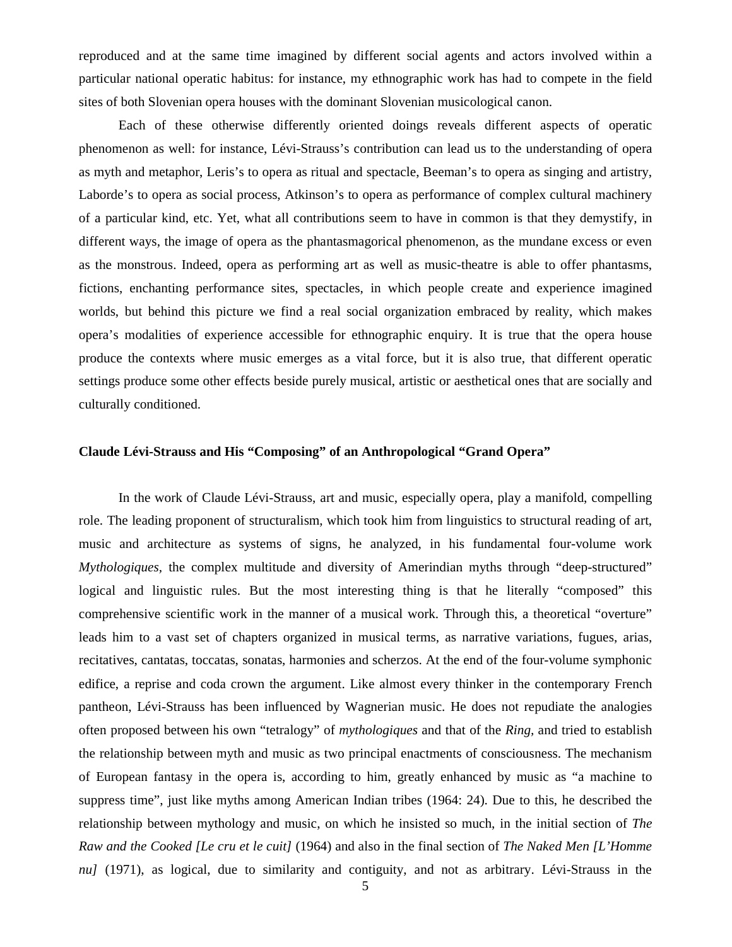reproduced and at the same time imagined by different social agents and actors involved within a particular national operatic habitus: for instance, my ethnographic work has had to compete in the field sites of both Slovenian opera houses with the dominant Slovenian musicological canon.

Each of these otherwise differently oriented doings reveals different aspects of operatic phenomenon as well: for instance, Lévi-Strauss's contribution can lead us to the understanding of opera as myth and metaphor, Leris's to opera as ritual and spectacle, Beeman's to opera as singing and artistry, Laborde's to opera as social process, Atkinson's to opera as performance of complex cultural machinery of a particular kind, etc. Yet, what all contributions seem to have in common is that they demystify, in different ways, the image of opera as the phantasmagorical phenomenon, as the mundane excess or even as the monstrous. Indeed, opera as performing art as well as music-theatre is able to offer phantasms, fictions, enchanting performance sites, spectacles, in which people create and experience imagined worlds, but behind this picture we find a real social organization embraced by reality, which makes opera's modalities of experience accessible for ethnographic enquiry. It is true that the opera house produce the contexts where music emerges as a vital force, but it is also true, that different operatic settings produce some other effects beside purely musical, artistic or aesthetical ones that are socially and culturally conditioned.

# **Claude Lévi-Strauss and His "Composing" of an Anthropological "Grand Opera"**

In the work of Claude Lévi-Strauss, art and music, especially opera, play a manifold, compelling role. The leading proponent of structuralism, which took him from linguistics to structural reading of art, music and architecture as systems of signs, he analyzed, in his fundamental four-volume work *Mythologiques,* the complex multitude and diversity of Amerindian myths through "deep-structured" logical and linguistic rules. But the most interesting thing is that he literally "composed" this comprehensive scientific work in the manner of a musical work. Through this, a theoretical "overture" leads him to a vast set of chapters organized in musical terms, as narrative variations, fugues, arias, recitatives, cantatas, toccatas, sonatas, harmonies and scherzos. At the end of the four-volume symphonic edifice, a reprise and coda crown the argument. Like almost every thinker in the contemporary French pantheon, Lévi-Strauss has been influenced by Wagnerian music. He does not repudiate the analogies often proposed between his own "tetralogy" of *mythologiques* and that of the *Ring,* and tried to establish the relationship between myth and music as two principal enactments of consciousness. The mechanism of European fantasy in the opera is, according to him, greatly enhanced by music as "a machine to suppress time", just like myths among American Indian tribes (1964: 24). Due to this, he described the relationship between mythology and music, on which he insisted so much, in the initial section of *The Raw and the Cooked [Le cru et le cuit]* (1964) and also in the final section of *The Naked Men [L'Homme nu]* (1971), as logical, due to similarity and contiguity, and not as arbitrary. Lévi-Strauss in the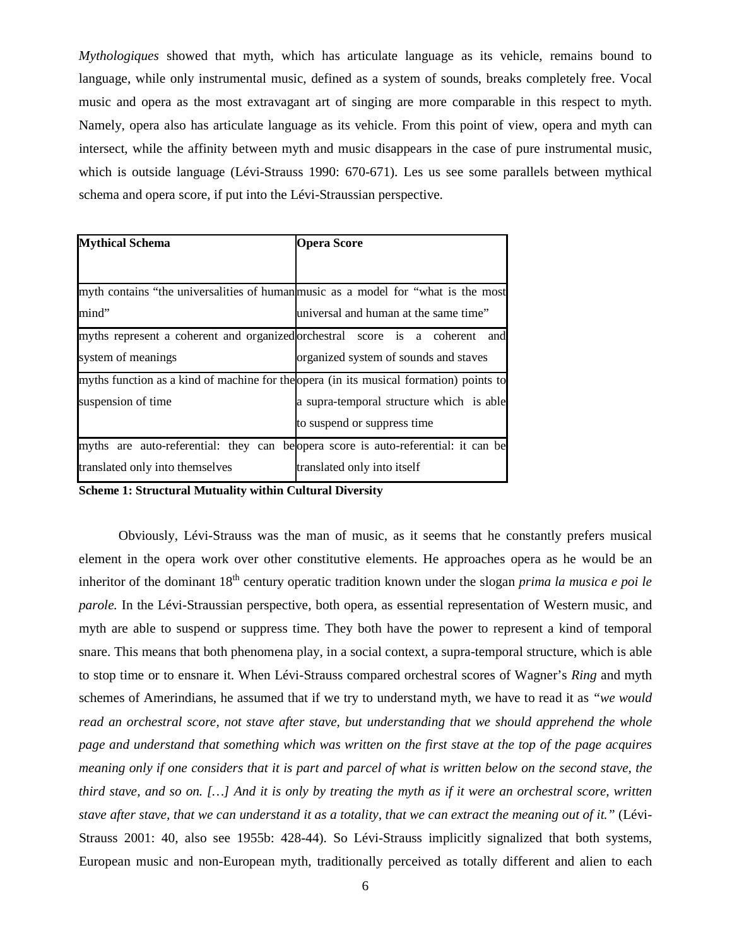*Mythologiques* showed that myth, which has articulate language as its vehicle, remains bound to language, while only instrumental music, defined as a system of sounds, breaks completely free. Vocal music and opera as the most extravagant art of singing are more comparable in this respect to myth. Namely, opera also has articulate language as its vehicle. From this point of view, opera and myth can intersect, while the affinity between myth and music disappears in the case of pure instrumental music, which is outside language (Lévi-Strauss 1990: 670-671). Les us see some parallels between mythical schema and opera score, if put into the Lévi-Straussian perspective.

| <b>Mythical Schema</b>                                                                 | <b>Opera Score</b>                            |
|----------------------------------------------------------------------------------------|-----------------------------------------------|
|                                                                                        |                                               |
| myth contains "the universalities of human music as a model for "what is the most      |                                               |
| mind"                                                                                  | universal and human at the same time"         |
| myths represent a coherent and organized orchestral score is a coherent                | and                                           |
| system of meanings                                                                     | organized system of sounds and staves         |
| myths function as a kind of machine for the opera (in its musical formation) points to |                                               |
| suspension of time                                                                     | a supra-temporal structure which is able      |
|                                                                                        | to suspend or suppress time                   |
| myths are auto-referential: they can                                                   | be opera score is auto-referential: it can be |
| translated only into themselves                                                        | translated only into itself                   |

**Scheme 1: Structural Mutuality within Cultural Diversity** 

Obviously, Lévi-Strauss was the man of music, as it seems that he constantly prefers musical element in the opera work over other constitutive elements. He approaches opera as he would be an inheritor of the dominant 18<sup>th</sup> century operatic tradition known under the slogan *prima la musica e poi le parole.* In the Lévi-Straussian perspective, both opera, as essential representation of Western music, and myth are able to suspend or suppress time. They both have the power to represent a kind of temporal snare. This means that both phenomena play, in a social context, a supra-temporal structure, which is able to stop time or to ensnare it. When Lévi-Strauss compared orchestral scores of Wagner's *Ring* and myth schemes of Amerindians, he assumed that if we try to understand myth, we have to read it as *"we would read an orchestral score, not stave after stave, but understanding that we should apprehend the whole page and understand that something which was written on the first stave at the top of the page acquires meaning only if one considers that it is part and parcel of what is written below on the second stave, the third stave, and so on. […] And it is only by treating the myth as if it were an orchestral score, written stave after stave, that we can understand it as a totality, that we can extract the meaning out of it."* (Lévi-Strauss 2001: 40, also see 1955b: 428-44). So Lévi-Strauss implicitly signalized that both systems, European music and non-European myth, traditionally perceived as totally different and alien to each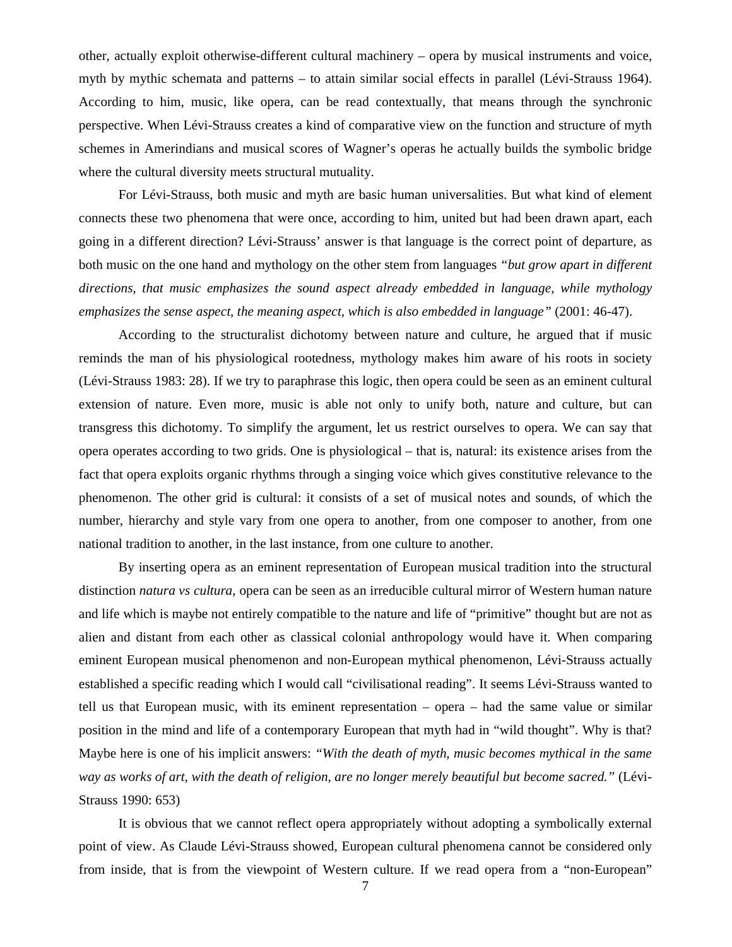other, actually exploit otherwise-different cultural machinery – opera by musical instruments and voice, myth by mythic schemata and patterns – to attain similar social effects in parallel (Lévi-Strauss 1964). According to him, music, like opera, can be read contextually, that means through the synchronic perspective. When Lévi-Strauss creates a kind of comparative view on the function and structure of myth schemes in Amerindians and musical scores of Wagner's operas he actually builds the symbolic bridge where the cultural diversity meets structural mutuality.

For Lévi-Strauss, both music and myth are basic human universalities. But what kind of element connects these two phenomena that were once, according to him, united but had been drawn apart, each going in a different direction? Lévi-Strauss' answer is that language is the correct point of departure, as both music on the one hand and mythology on the other stem from languages *"but grow apart in different directions, that music emphasizes the sound aspect already embedded in language, while mythology emphasizes the sense aspect, the meaning aspect, which is also embedded in language"* (2001: 46-47).

According to the structuralist dichotomy between nature and culture, he argued that if music reminds the man of his physiological rootedness, mythology makes him aware of his roots in society (Lévi-Strauss 1983: 28). If we try to paraphrase this logic, then opera could be seen as an eminent cultural extension of nature. Even more, music is able not only to unify both, nature and culture, but can transgress this dichotomy. To simplify the argument, let us restrict ourselves to opera. We can say that opera operates according to two grids. One is physiological – that is, natural: its existence arises from the fact that opera exploits organic rhythms through a singing voice which gives constitutive relevance to the phenomenon. The other grid is cultural: it consists of a set of musical notes and sounds, of which the number, hierarchy and style vary from one opera to another, from one composer to another, from one national tradition to another, in the last instance, from one culture to another.

By inserting opera as an eminent representation of European musical tradition into the structural distinction *natura vs cultura,* opera can be seen as an irreducible cultural mirror of Western human nature and life which is maybe not entirely compatible to the nature and life of "primitive" thought but are not as alien and distant from each other as classical colonial anthropology would have it. When comparing eminent European musical phenomenon and non-European mythical phenomenon, Lévi-Strauss actually established a specific reading which I would call "civilisational reading". It seems Lévi-Strauss wanted to tell us that European music, with its eminent representation – opera – had the same value or similar position in the mind and life of a contemporary European that myth had in "wild thought". Why is that? Maybe here is one of his implicit answers: *"With the death of myth, music becomes mythical in the same way as works of art, with the death of religion, are no longer merely beautiful but become sacred."* (Lévi-Strauss 1990: 653)

It is obvious that we cannot reflect opera appropriately without adopting a symbolically external point of view. As Claude Lévi-Strauss showed, European cultural phenomena cannot be considered only from inside, that is from the viewpoint of Western culture. If we read opera from a "non-European"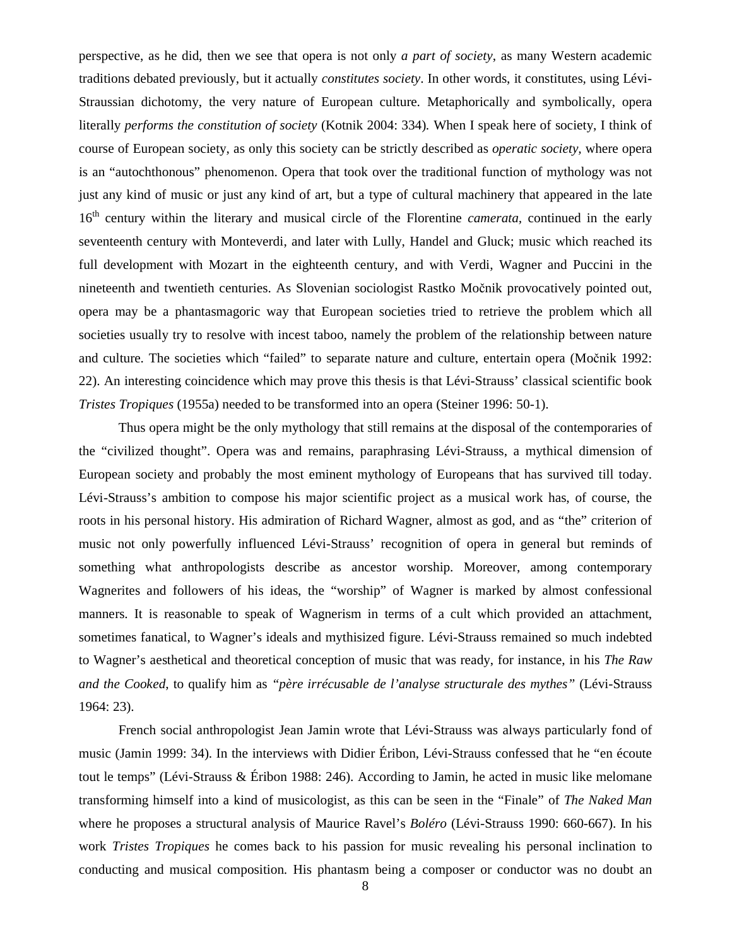perspective, as he did, then we see that opera is not only *a part of society*, as many Western academic traditions debated previously, but it actually *constitutes society*. In other words, it constitutes, using Lévi-Straussian dichotomy, the very nature of European culture. Metaphorically and symbolically, opera literally *performs the constitution of society* (Kotnik 2004: 334)*.* When I speak here of society, I think of course of European society, as only this society can be strictly described as *operatic society,* where opera is an "autochthonous" phenomenon. Opera that took over the traditional function of mythology was not just any kind of music or just any kind of art, but a type of cultural machinery that appeared in the late 16<sup>th</sup> century within the literary and musical circle of the Florentine *camerata*, continued in the early seventeenth century with Monteverdi, and later with Lully, Handel and Gluck; music which reached its full development with Mozart in the eighteenth century, and with Verdi, Wagner and Puccini in the nineteenth and twentieth centuries. As Slovenian sociologist Rastko Močnik provocatively pointed out, opera may be a phantasmagoric way that European societies tried to retrieve the problem which all societies usually try to resolve with incest taboo, namely the problem of the relationship between nature and culture. The societies which "failed" to separate nature and culture, entertain opera (Močnik 1992: 22). An interesting coincidence which may prove this thesis is that Lévi-Strauss' classical scientific book *Tristes Tropiques* (1955a) needed to be transformed into an opera (Steiner 1996: 50-1).

Thus opera might be the only mythology that still remains at the disposal of the contemporaries of the "civilized thought". Opera was and remains, paraphrasing Lévi-Strauss, a mythical dimension of European society and probably the most eminent mythology of Europeans that has survived till today. Lévi-Strauss's ambition to compose his major scientific project as a musical work has, of course, the roots in his personal history. His admiration of Richard Wagner, almost as god, and as "the" criterion of music not only powerfully influenced Lévi-Strauss' recognition of opera in general but reminds of something what anthropologists describe as ancestor worship. Moreover, among contemporary Wagnerites and followers of his ideas, the "worship" of Wagner is marked by almost confessional manners. It is reasonable to speak of Wagnerism in terms of a cult which provided an attachment, sometimes fanatical, to Wagner's ideals and mythisized figure. Lévi-Strauss remained so much indebted to Wagner's aesthetical and theoretical conception of music that was ready, for instance, in his *The Raw and the Cooked*, to qualify him as *"père irrécusable de l'analyse structurale des mythes"* (Lévi-Strauss 1964: 23).

French social anthropologist Jean Jamin wrote that Lévi-Strauss was always particularly fond of music (Jamin 1999: 34). In the interviews with Didier Éribon, Lévi-Strauss confessed that he "en écoute tout le temps" (Lévi-Strauss & Éribon 1988: 246). According to Jamin, he acted in music like melomane transforming himself into a kind of musicologist, as this can be seen in the "Finale" of *The Naked Man*  where he proposes a structural analysis of Maurice Ravel's *Boléro* (Lévi-Strauss 1990: 660-667). In his work *Tristes Tropiques* he comes back to his passion for music revealing his personal inclination to conducting and musical composition. His phantasm being a composer or conductor was no doubt an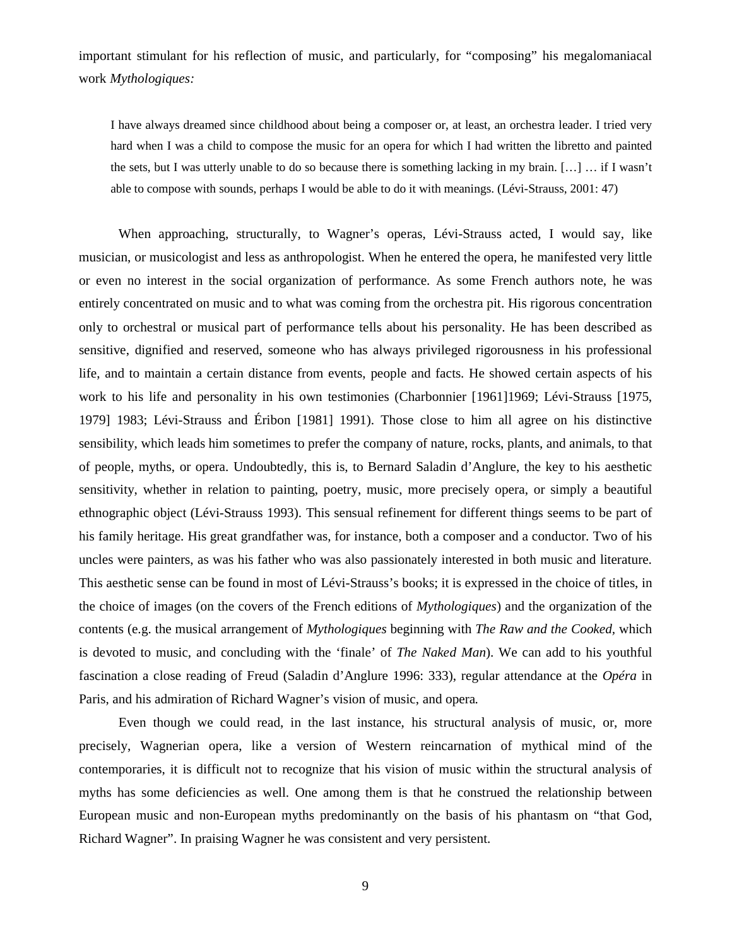important stimulant for his reflection of music, and particularly, for "composing" his megalomaniacal work *Mythologiques:*

I have always dreamed since childhood about being a composer or, at least, an orchestra leader. I tried very hard when I was a child to compose the music for an opera for which I had written the libretto and painted the sets, but I was utterly unable to do so because there is something lacking in my brain. […] … if I wasn't able to compose with sounds, perhaps I would be able to do it with meanings. (Lévi-Strauss, 2001: 47)

When approaching, structurally, to Wagner's operas, Lévi-Strauss acted, I would say, like musician, or musicologist and less as anthropologist. When he entered the opera, he manifested very little or even no interest in the social organization of performance. As some French authors note, he was entirely concentrated on music and to what was coming from the orchestra pit. His rigorous concentration only to orchestral or musical part of performance tells about his personality. He has been described as sensitive, dignified and reserved, someone who has always privileged rigorousness in his professional life, and to maintain a certain distance from events, people and facts. He showed certain aspects of his work to his life and personality in his own testimonies (Charbonnier [1961]1969; Lévi-Strauss [1975, 1979] 1983; Lévi-Strauss and Éribon [1981] 1991). Those close to him all agree on his distinctive sensibility, which leads him sometimes to prefer the company of nature, rocks, plants, and animals, to that of people, myths, or opera. Undoubtedly, this is, to Bernard Saladin d'Anglure, the key to his aesthetic sensitivity, whether in relation to painting, poetry, music, more precisely opera, or simply a beautiful ethnographic object (Lévi-Strauss 1993). This sensual refinement for different things seems to be part of his family heritage. His great grandfather was, for instance, both a composer and a conductor. Two of his uncles were painters, as was his father who was also passionately interested in both music and literature. This aesthetic sense can be found in most of Lévi-Strauss's books; it is expressed in the choice of titles, in the choice of images (on the covers of the French editions of *Mythologiques*) and the organization of the contents (e.g. the musical arrangement of *Mythologiques* beginning with *The Raw and the Cooked,* which is devoted to music, and concluding with the 'finale' of *The Naked Man*). We can add to his youthful fascination a close reading of Freud (Saladin d'Anglure 1996: 333), regular attendance at the *Opéra* in Paris, and his admiration of Richard Wagner's vision of music, and opera*.*

Even though we could read, in the last instance, his structural analysis of music, or, more precisely, Wagnerian opera, like a version of Western reincarnation of mythical mind of the contemporaries, it is difficult not to recognize that his vision of music within the structural analysis of myths has some deficiencies as well. One among them is that he construed the relationship between European music and non-European myths predominantly on the basis of his phantasm on "that God, Richard Wagner". In praising Wagner he was consistent and very persistent.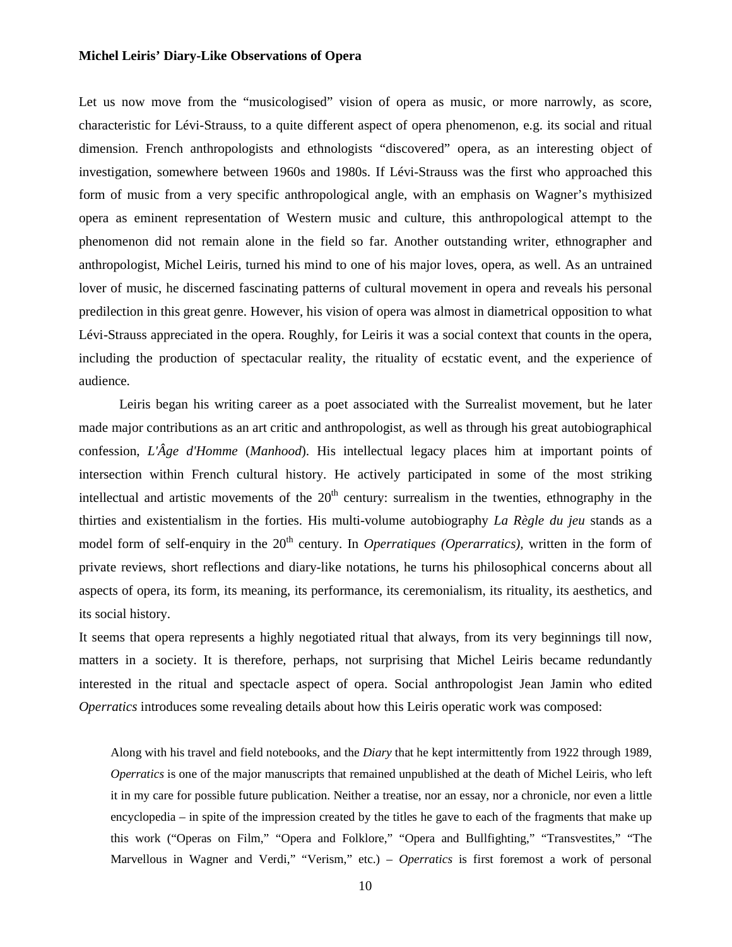# **Michel Leiris' Diary-Like Observations of Opera**

Let us now move from the "musicologised" vision of opera as music, or more narrowly, as score, characteristic for Lévi-Strauss, to a quite different aspect of opera phenomenon, e.g. its social and ritual dimension. French anthropologists and ethnologists "discovered" opera, as an interesting object of investigation, somewhere between 1960s and 1980s. If Lévi-Strauss was the first who approached this form of music from a very specific anthropological angle, with an emphasis on Wagner's mythisized opera as eminent representation of Western music and culture, this anthropological attempt to the phenomenon did not remain alone in the field so far. Another outstanding writer, ethnographer and anthropologist, Michel Leiris, turned his mind to one of his major loves, opera, as well. As an untrained lover of music, he discerned fascinating patterns of cultural movement in opera and reveals his personal predilection in this great genre. However, his vision of opera was almost in diametrical opposition to what Lévi-Strauss appreciated in the opera. Roughly, for Leiris it was a social context that counts in the opera, including the production of spectacular reality, the rituality of ecstatic event, and the experience of audience.

 Leiris began his writing career as a poet associated with the Surrealist movement, but he later made major contributions as an art critic and anthropologist, as well as through his great autobiographical confession, *L'Âge d'Homme* (*Manhood*). His intellectual legacy places him at important points of intersection within French cultural history. He actively participated in some of the most striking intellectual and artistic movements of the  $20<sup>th</sup>$  century: surrealism in the twenties, ethnography in the thirties and existentialism in the forties. His multi-volume autobiography *La Règle du jeu* stands as a model form of self-enquiry in the 20<sup>th</sup> century. In *Operratiques (Operarratics)*, written in the form of private reviews, short reflections and diary-like notations, he turns his philosophical concerns about all aspects of opera, its form, its meaning, its performance, its ceremonialism, its rituality, its aesthetics, and its social history.

It seems that opera represents a highly negotiated ritual that always, from its very beginnings till now, matters in a society. It is therefore, perhaps, not surprising that Michel Leiris became redundantly interested in the ritual and spectacle aspect of opera. Social anthropologist Jean Jamin who edited *Operratics* introduces some revealing details about how this Leiris operatic work was composed:

Along with his travel and field notebooks, and the *Diary* that he kept intermittently from 1922 through 1989, *Operratics* is one of the major manuscripts that remained unpublished at the death of Michel Leiris, who left it in my care for possible future publication. Neither a treatise, nor an essay, nor a chronicle, nor even a little encyclopedia – in spite of the impression created by the titles he gave to each of the fragments that make up this work ("Operas on Film," "Opera and Folklore," "Opera and Bullfighting," "Transvestites," "The Marvellous in Wagner and Verdi," "Verism," etc.) – *Operratics* is first foremost a work of personal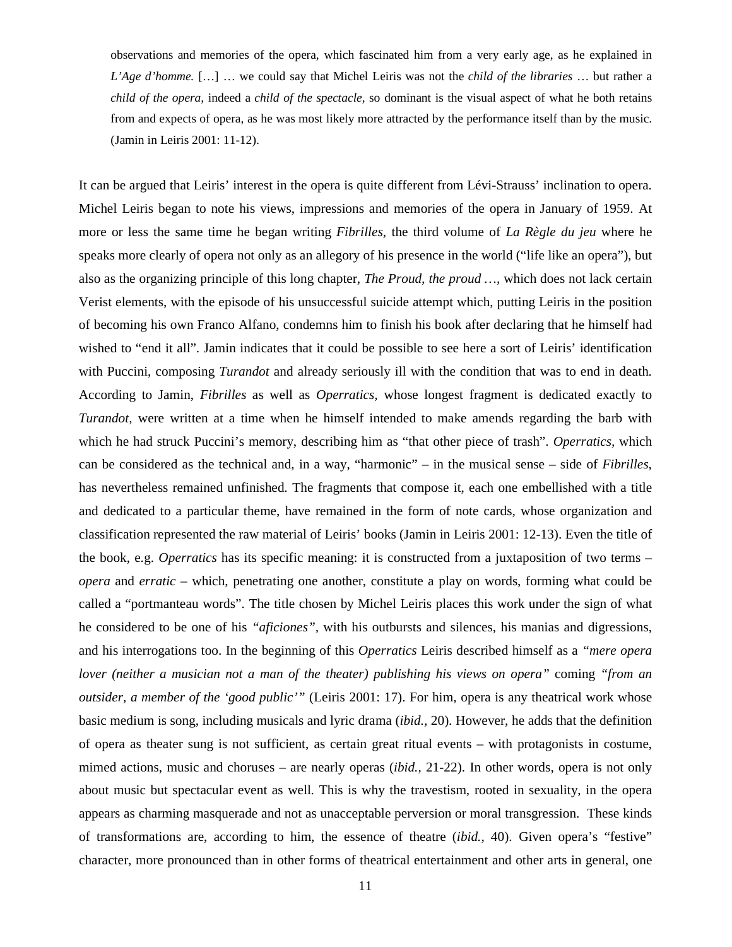observations and memories of the opera, which fascinated him from a very early age, as he explained in *L'Age d'homme.* […] … we could say that Michel Leiris was not the *child of the libraries* … but rather a *child of the opera,* indeed a *child of the spectacle,* so dominant is the visual aspect of what he both retains from and expects of opera, as he was most likely more attracted by the performance itself than by the music. (Jamin in Leiris 2001: 11-12).

It can be argued that Leiris' interest in the opera is quite different from Lévi-Strauss' inclination to opera. Michel Leiris began to note his views, impressions and memories of the opera in January of 1959. At more or less the same time he began writing *Fibrilles,* the third volume of *La Règle du jeu* where he speaks more clearly of opera not only as an allegory of his presence in the world ("life like an opera"), but also as the organizing principle of this long chapter, *The Proud, the proud …,* which does not lack certain Verist elements, with the episode of his unsuccessful suicide attempt which, putting Leiris in the position of becoming his own Franco Alfano, condemns him to finish his book after declaring that he himself had wished to "end it all". Jamin indicates that it could be possible to see here a sort of Leiris' identification with Puccini, composing *Turandot* and already seriously ill with the condition that was to end in death. According to Jamin, *Fibrilles* as well as *Operratics,* whose longest fragment is dedicated exactly to *Turandot,* were written at a time when he himself intended to make amends regarding the barb with which he had struck Puccini's memory, describing him as "that other piece of trash". *Operratics,* which can be considered as the technical and, in a way, "harmonic" – in the musical sense – side of *Fibrilles,*  has nevertheless remained unfinished. The fragments that compose it, each one embellished with a title and dedicated to a particular theme, have remained in the form of note cards, whose organization and classification represented the raw material of Leiris' books (Jamin in Leiris 2001: 12-13). Even the title of the book, e.g. *Operratics* has its specific meaning: it is constructed from a juxtaposition of two terms – *opera* and *erratic –* which, penetrating one another, constitute a play on words, forming what could be called a "portmanteau words". The title chosen by Michel Leiris places this work under the sign of what he considered to be one of his *"aficiones",* with his outbursts and silences, his manias and digressions, and his interrogations too. In the beginning of this *Operratics* Leiris described himself as a *"mere opera lover (neither a musician not a man of the theater) publishing his views on opera"* coming *"from an outsider, a member of the 'good public'"* (Leiris 2001: 17). For him, opera is any theatrical work whose basic medium is song, including musicals and lyric drama (*ibid.,* 20). However, he adds that the definition of opera as theater sung is not sufficient, as certain great ritual events – with protagonists in costume, mimed actions, music and choruses – are nearly operas (*ibid.,* 21-22). In other words, opera is not only about music but spectacular event as well. This is why the travestism, rooted in sexuality, in the opera appears as charming masquerade and not as unacceptable perversion or moral transgression. These kinds of transformations are, according to him, the essence of theatre (*ibid.,* 40). Given opera's "festive" character, more pronounced than in other forms of theatrical entertainment and other arts in general, one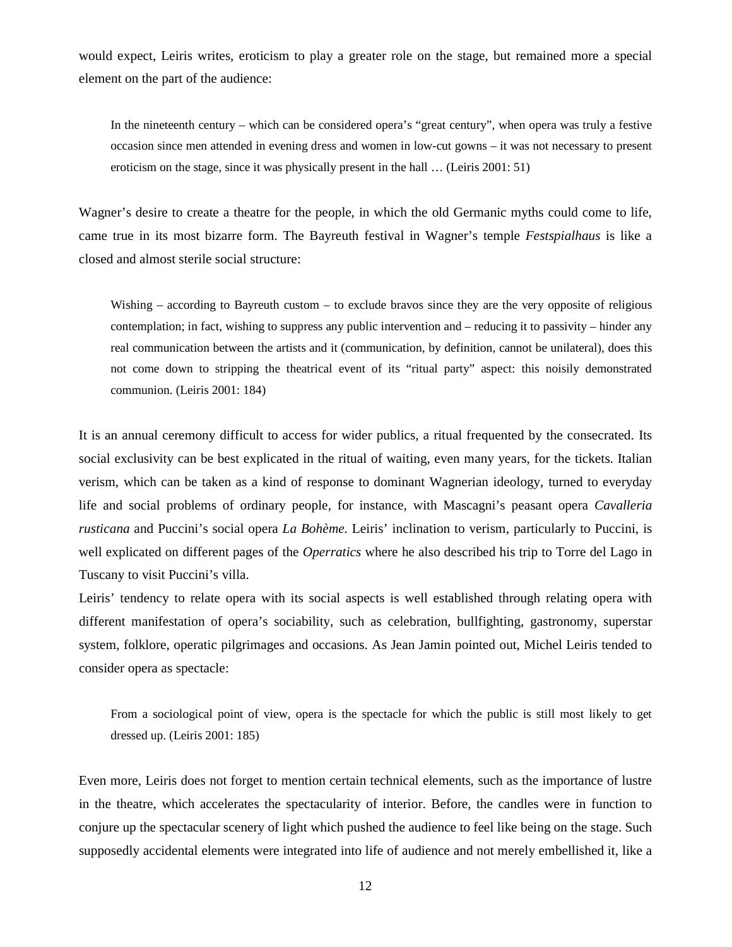would expect, Leiris writes, eroticism to play a greater role on the stage, but remained more a special element on the part of the audience:

In the nineteenth century – which can be considered opera's "great century", when opera was truly a festive occasion since men attended in evening dress and women in low-cut gowns – it was not necessary to present eroticism on the stage, since it was physically present in the hall … (Leiris 2001: 51)

Wagner's desire to create a theatre for the people, in which the old Germanic myths could come to life, came true in its most bizarre form. The Bayreuth festival in Wagner's temple *Festspialhaus* is like a closed and almost sterile social structure:

Wishing – according to Bayreuth custom – to exclude bravos since they are the very opposite of religious contemplation; in fact, wishing to suppress any public intervention and – reducing it to passivity – hinder any real communication between the artists and it (communication, by definition, cannot be unilateral), does this not come down to stripping the theatrical event of its "ritual party" aspect: this noisily demonstrated communion. (Leiris 2001: 184)

It is an annual ceremony difficult to access for wider publics, a ritual frequented by the consecrated. Its social exclusivity can be best explicated in the ritual of waiting, even many years, for the tickets. Italian verism, which can be taken as a kind of response to dominant Wagnerian ideology, turned to everyday life and social problems of ordinary people, for instance, with Mascagni's peasant opera *Cavalleria rusticana* and Puccini's social opera *La Bohème.* Leiris' inclination to verism, particularly to Puccini, is well explicated on different pages of the *Operratics* where he also described his trip to Torre del Lago in Tuscany to visit Puccini's villa.

Leiris' tendency to relate opera with its social aspects is well established through relating opera with different manifestation of opera's sociability, such as celebration, bullfighting, gastronomy, superstar system, folklore, operatic pilgrimages and occasions. As Jean Jamin pointed out, Michel Leiris tended to consider opera as spectacle:

From a sociological point of view, opera is the spectacle for which the public is still most likely to get dressed up. (Leiris 2001: 185)

Even more, Leiris does not forget to mention certain technical elements, such as the importance of lustre in the theatre, which accelerates the spectacularity of interior. Before, the candles were in function to conjure up the spectacular scenery of light which pushed the audience to feel like being on the stage. Such supposedly accidental elements were integrated into life of audience and not merely embellished it, like a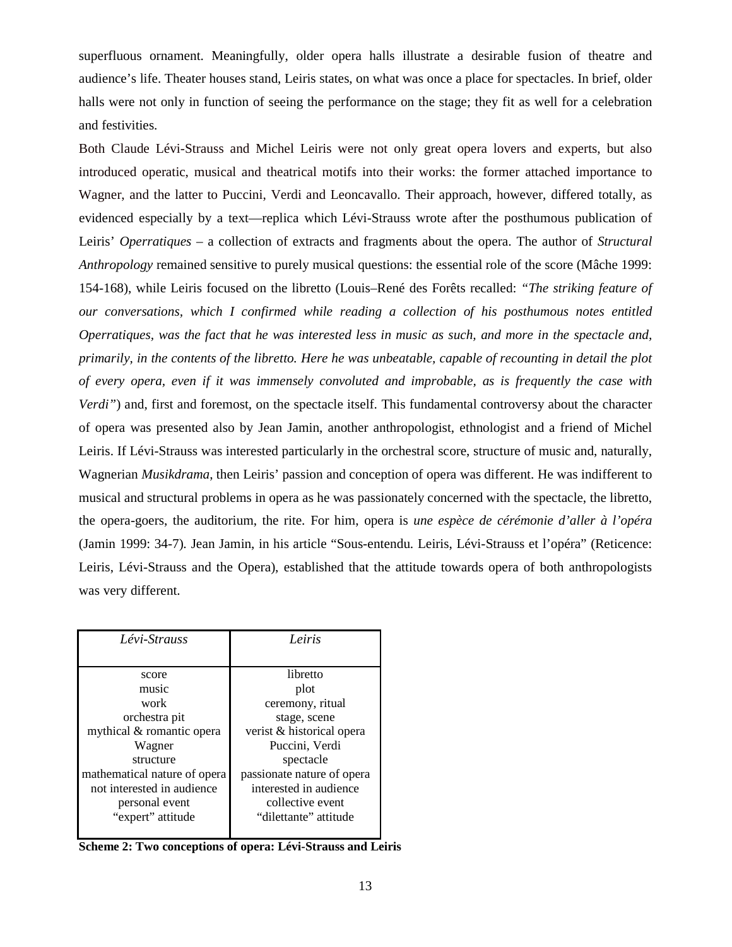superfluous ornament. Meaningfully, older opera halls illustrate a desirable fusion of theatre and audience's life. Theater houses stand, Leiris states, on what was once a place for spectacles. In brief, older halls were not only in function of seeing the performance on the stage; they fit as well for a celebration and festivities.

Both Claude Lévi-Strauss and Michel Leiris were not only great opera lovers and experts, but also introduced operatic, musical and theatrical motifs into their works: the former attached importance to Wagner, and the latter to Puccini, Verdi and Leoncavallo. Their approach, however, differed totally, as evidenced especially by a text—replica which Lévi-Strauss wrote after the posthumous publication of Leiris' *Operratiques –* a collection of extracts and fragments about the opera. The author of *Structural Anthropology* remained sensitive to purely musical questions: the essential role of the score (Mâche 1999: 154-168), while Leiris focused on the libretto (Louis–René des Forêts recalled: *"The striking feature of our conversations, which I confirmed while reading a collection of his posthumous notes entitled Operratiques, was the fact that he was interested less in music as such, and more in the spectacle and, primarily, in the contents of the libretto. Here he was unbeatable, capable of recounting in detail the plot of every opera, even if it was immensely convoluted and improbable, as is frequently the case with Verdi"*) and, first and foremost, on the spectacle itself. This fundamental controversy about the character of opera was presented also by Jean Jamin, another anthropologist, ethnologist and a friend of Michel Leiris. If Lévi-Strauss was interested particularly in the orchestral score, structure of music and, naturally, Wagnerian *Musikdrama*, then Leiris' passion and conception of opera was different. He was indifferent to musical and structural problems in opera as he was passionately concerned with the spectacle, the libretto, the opera-goers, the auditorium, the rite. For him, opera is *une espèce de cérémonie d'aller à l'opéra*  (Jamin 1999: 34-7)*.* Jean Jamin, in his article "Sous-entendu. Leiris, Lévi-Strauss et l'opéra" (Reticence: Leiris, Lévi-Strauss and the Opera), established that the attitude towards opera of both anthropologists was very different.

| Lévi-Strauss                 | Leiris                     |
|------------------------------|----------------------------|
|                              |                            |
| score                        | libretto                   |
| music                        | plot                       |
| work                         | ceremony, ritual           |
| orchestra pit                | stage, scene               |
| mythical & romantic opera    | verist & historical opera  |
| Wagner                       | Puccini, Verdi             |
| structure                    | spectacle                  |
| mathematical nature of opera | passionate nature of opera |
| not interested in audience   | interested in audience     |
| personal event               | collective event           |
| "expert" attitude            | "dilettante" attitude      |

**Scheme 2: Two conceptions of opera: Lévi-Strauss and Leiris**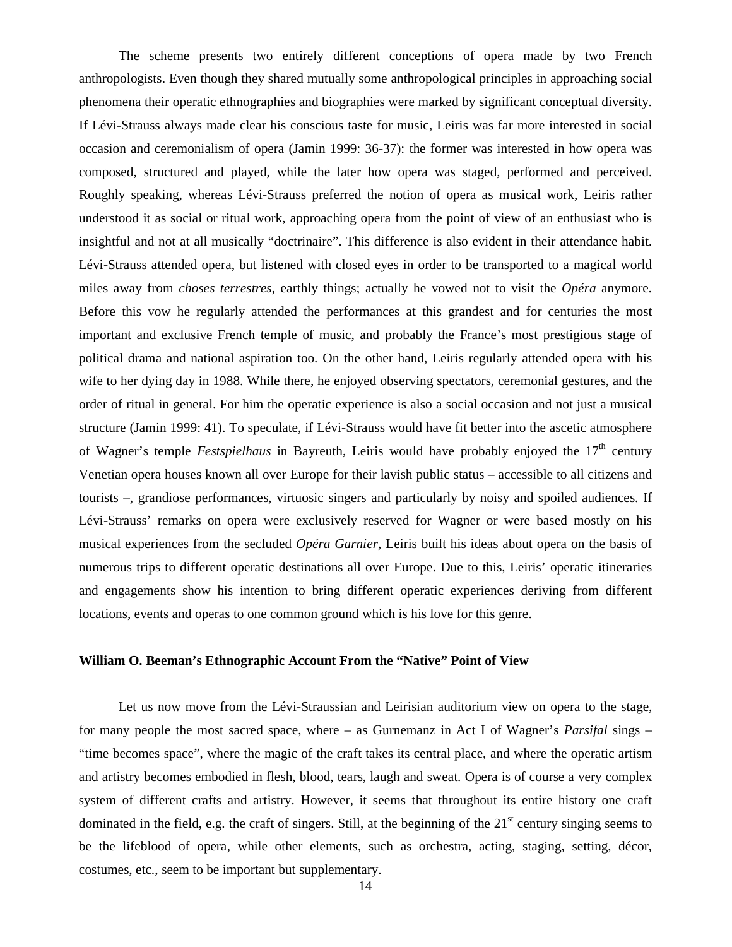The scheme presents two entirely different conceptions of opera made by two French anthropologists. Even though they shared mutually some anthropological principles in approaching social phenomena their operatic ethnographies and biographies were marked by significant conceptual diversity. If Lévi-Strauss always made clear his conscious taste for music, Leiris was far more interested in social occasion and ceremonialism of opera (Jamin 1999: 36-37): the former was interested in how opera was composed, structured and played, while the later how opera was staged, performed and perceived. Roughly speaking, whereas Lévi-Strauss preferred the notion of opera as musical work, Leiris rather understood it as social or ritual work, approaching opera from the point of view of an enthusiast who is insightful and not at all musically "doctrinaire". This difference is also evident in their attendance habit. Lévi-Strauss attended opera, but listened with closed eyes in order to be transported to a magical world miles away from *choses terrestres,* earthly things; actually he vowed not to visit the *Opéra* anymore. Before this vow he regularly attended the performances at this grandest and for centuries the most important and exclusive French temple of music, and probably the France's most prestigious stage of political drama and national aspiration too. On the other hand, Leiris regularly attended opera with his wife to her dying day in 1988. While there, he enjoyed observing spectators, ceremonial gestures, and the order of ritual in general. For him the operatic experience is also a social occasion and not just a musical structure (Jamin 1999: 41). To speculate, if Lévi-Strauss would have fit better into the ascetic atmosphere of Wagner's temple *Festspielhaus* in Bayreuth, Leiris would have probably enjoyed the 17<sup>th</sup> century Venetian opera houses known all over Europe for their lavish public status – accessible to all citizens and tourists –, grandiose performances, virtuosic singers and particularly by noisy and spoiled audiences. If Lévi-Strauss' remarks on opera were exclusively reserved for Wagner or were based mostly on his musical experiences from the secluded *Opéra Garnier*, Leiris built his ideas about opera on the basis of numerous trips to different operatic destinations all over Europe. Due to this, Leiris' operatic itineraries and engagements show his intention to bring different operatic experiences deriving from different locations, events and operas to one common ground which is his love for this genre.

#### **William O. Beeman's Ethnographic Account From the "Native" Point of View**

Let us now move from the Lévi-Straussian and Leirisian auditorium view on opera to the stage, for many people the most sacred space, where – as Gurnemanz in Act I of Wagner's *Parsifal* sings – "time becomes space", where the magic of the craft takes its central place, and where the operatic artism and artistry becomes embodied in flesh, blood, tears, laugh and sweat. Opera is of course a very complex system of different crafts and artistry. However, it seems that throughout its entire history one craft dominated in the field, e.g. the craft of singers. Still, at the beginning of the  $21<sup>st</sup>$  century singing seems to be the lifeblood of opera, while other elements, such as orchestra, acting, staging, setting, décor, costumes, etc., seem to be important but supplementary.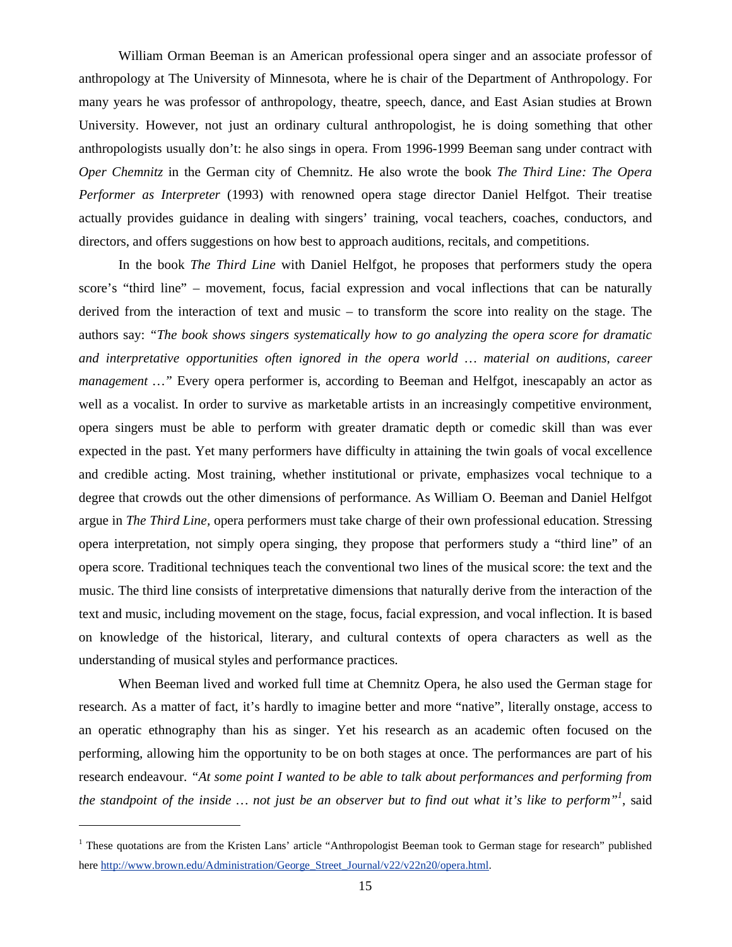William Orman Beeman is an American professional opera singer and an associate professor of anthropology at The University of Minnesota, where he is chair of the Department of Anthropology. For many years he was professor of anthropology, theatre, speech, dance, and East Asian studies at Brown University. However, not just an ordinary cultural anthropologist, he is doing something that other anthropologists usually don't: he also sings in opera. From 1996-1999 Beeman sang under contract with *Oper Chemnitz* in the German city of Chemnitz. He also wrote the book *The Third Line: The Opera Performer as Interpreter* (1993) with renowned opera stage director Daniel Helfgot. Their treatise actually provides guidance in dealing with singers' training, vocal teachers, coaches, conductors, and directors, and offers suggestions on how best to approach auditions, recitals, and competitions.

In the book *The Third Line* with Daniel Helfgot, he proposes that performers study the opera score's "third line" – movement, focus, facial expression and vocal inflections that can be naturally derived from the interaction of text and music – to transform the score into reality on the stage. The authors say: *"The book shows singers systematically how to go analyzing the opera score for dramatic and interpretative opportunities often ignored in the opera world … material on auditions, career management* ..." Every opera performer is, according to Beeman and Helfgot, inescapably an actor as well as a vocalist. In order to survive as marketable artists in an increasingly competitive environment, opera singers must be able to perform with greater dramatic depth or comedic skill than was ever expected in the past. Yet many performers have difficulty in attaining the twin goals of vocal excellence and credible acting. Most training, whether institutional or private, emphasizes vocal technique to a degree that crowds out the other dimensions of performance. As William O. Beeman and Daniel Helfgot argue in *The Third Line,* opera performers must take charge of their own professional education. Stressing opera interpretation, not simply opera singing, they propose that performers study a "third line" of an opera score. Traditional techniques teach the conventional two lines of the musical score: the text and the music. The third line consists of interpretative dimensions that naturally derive from the interaction of the text and music, including movement on the stage, focus, facial expression, and vocal inflection. It is based on knowledge of the historical, literary, and cultural contexts of opera characters as well as the understanding of musical styles and performance practices.

When Beeman lived and worked full time at Chemnitz Opera, he also used the German stage for research. As a matter of fact, it's hardly to imagine better and more "native", literally onstage, access to an operatic ethnography than his as singer. Yet his research as an academic often focused on the performing, allowing him the opportunity to be on both stages at once. The performances are part of his research endeavour. *"At some point I wanted to be able to talk about performances and performing from the standpoint of the inside … not just be an observer but to find out what it's like to perform"<sup>1</sup>* , said

 $\overline{a}$ 

<sup>&</sup>lt;sup>1</sup> These quotations are from the Kristen Lans' article "Anthropologist Beeman took to German stage for research" published here http://www.brown.edu/Administration/George\_Street\_Journal/v22/v22n20/opera.html.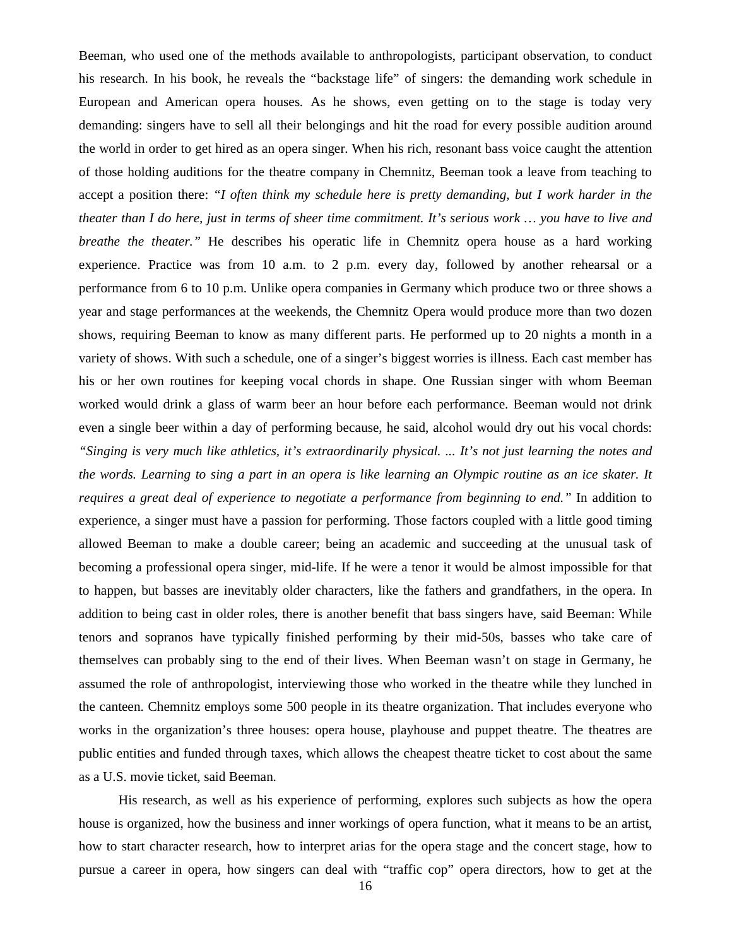Beeman, who used one of the methods available to anthropologists, participant observation, to conduct his research. In his book, he reveals the "backstage life" of singers: the demanding work schedule in European and American opera houses. As he shows, even getting on to the stage is today very demanding: singers have to sell all their belongings and hit the road for every possible audition around the world in order to get hired as an opera singer. When his rich, resonant bass voice caught the attention of those holding auditions for the theatre company in Chemnitz, Beeman took a leave from teaching to accept a position there: *"I often think my schedule here is pretty demanding, but I work harder in the theater than I do here, just in terms of sheer time commitment. It's serious work … you have to live and breathe the theater."* He describes his operatic life in Chemnitz opera house as a hard working experience. Practice was from 10 a.m. to 2 p.m. every day, followed by another rehearsal or a performance from 6 to 10 p.m. Unlike opera companies in Germany which produce two or three shows a year and stage performances at the weekends, the Chemnitz Opera would produce more than two dozen shows, requiring Beeman to know as many different parts. He performed up to 20 nights a month in a variety of shows. With such a schedule, one of a singer's biggest worries is illness. Each cast member has his or her own routines for keeping vocal chords in shape. One Russian singer with whom Beeman worked would drink a glass of warm beer an hour before each performance. Beeman would not drink even a single beer within a day of performing because, he said, alcohol would dry out his vocal chords: *"Singing is very much like athletics, it's extraordinarily physical. ... It's not just learning the notes and the words. Learning to sing a part in an opera is like learning an Olympic routine as an ice skater. It requires a great deal of experience to negotiate a performance from beginning to end."* In addition to experience, a singer must have a passion for performing. Those factors coupled with a little good timing allowed Beeman to make a double career; being an academic and succeeding at the unusual task of becoming a professional opera singer, mid-life. If he were a tenor it would be almost impossible for that to happen, but basses are inevitably older characters, like the fathers and grandfathers, in the opera. In addition to being cast in older roles, there is another benefit that bass singers have, said Beeman: While tenors and sopranos have typically finished performing by their mid-50s, basses who take care of themselves can probably sing to the end of their lives. When Beeman wasn't on stage in Germany, he assumed the role of anthropologist, interviewing those who worked in the theatre while they lunched in the canteen. Chemnitz employs some 500 people in its theatre organization. That includes everyone who works in the organization's three houses: opera house, playhouse and puppet theatre. The theatres are public entities and funded through taxes, which allows the cheapest theatre ticket to cost about the same as a U.S. movie ticket, said Beeman.

His research, as well as his experience of performing, explores such subjects as how the opera house is organized, how the business and inner workings of opera function, what it means to be an artist, how to start character research, how to interpret arias for the opera stage and the concert stage, how to pursue a career in opera, how singers can deal with "traffic cop" opera directors, how to get at the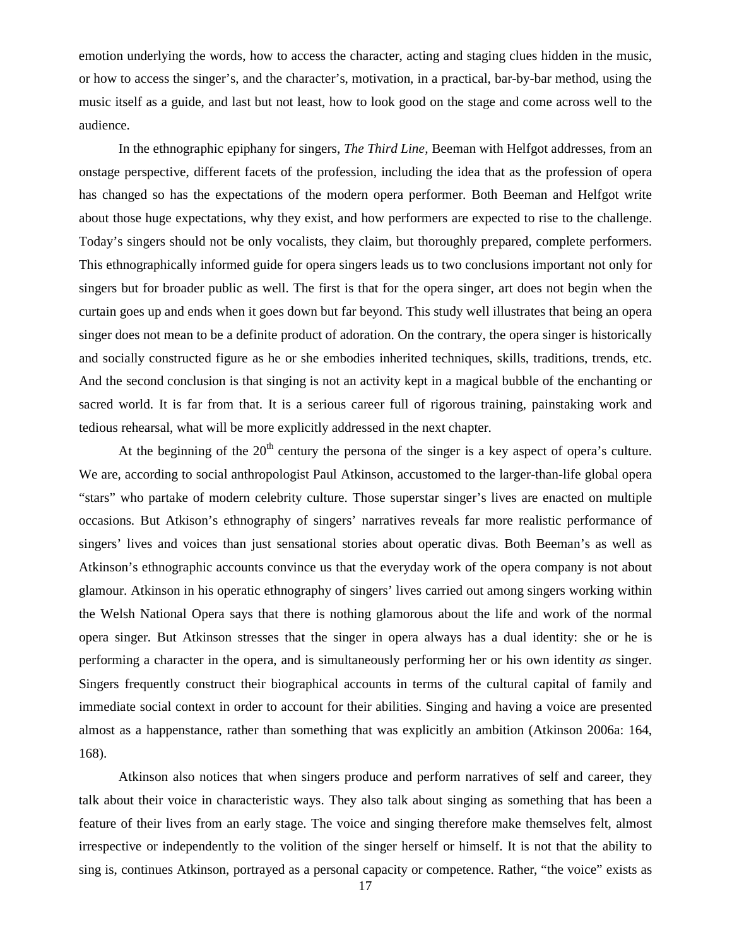emotion underlying the words, how to access the character, acting and staging clues hidden in the music, or how to access the singer's, and the character's, motivation, in a practical, bar-by-bar method, using the music itself as a guide, and last but not least, how to look good on the stage and come across well to the audience.

In the ethnographic epiphany for singers, *The Third Line,* Beeman with Helfgot addresses, from an onstage perspective, different facets of the profession, including the idea that as the profession of opera has changed so has the expectations of the modern opera performer. Both Beeman and Helfgot write about those huge expectations, why they exist, and how performers are expected to rise to the challenge. Today's singers should not be only vocalists, they claim, but thoroughly prepared, complete performers. This ethnographically informed guide for opera singers leads us to two conclusions important not only for singers but for broader public as well. The first is that for the opera singer, art does not begin when the curtain goes up and ends when it goes down but far beyond. This study well illustrates that being an opera singer does not mean to be a definite product of adoration. On the contrary, the opera singer is historically and socially constructed figure as he or she embodies inherited techniques, skills, traditions, trends, etc. And the second conclusion is that singing is not an activity kept in a magical bubble of the enchanting or sacred world. It is far from that. It is a serious career full of rigorous training, painstaking work and tedious rehearsal, what will be more explicitly addressed in the next chapter.

At the beginning of the  $20<sup>th</sup>$  century the persona of the singer is a key aspect of opera's culture. We are, according to social anthropologist Paul Atkinson, accustomed to the larger-than-life global opera "stars" who partake of modern celebrity culture. Those superstar singer's lives are enacted on multiple occasions. But Atkison's ethnography of singers' narratives reveals far more realistic performance of singers' lives and voices than just sensational stories about operatic divas. Both Beeman's as well as Atkinson's ethnographic accounts convince us that the everyday work of the opera company is not about glamour. Atkinson in his operatic ethnography of singers' lives carried out among singers working within the Welsh National Opera says that there is nothing glamorous about the life and work of the normal opera singer. But Atkinson stresses that the singer in opera always has a dual identity: she or he is performing a character in the opera, and is simultaneously performing her or his own identity *as* singer. Singers frequently construct their biographical accounts in terms of the cultural capital of family and immediate social context in order to account for their abilities. Singing and having a voice are presented almost as a happenstance, rather than something that was explicitly an ambition (Atkinson 2006a: 164, 168).

Atkinson also notices that when singers produce and perform narratives of self and career, they talk about their voice in characteristic ways. They also talk about singing as something that has been a feature of their lives from an early stage. The voice and singing therefore make themselves felt, almost irrespective or independently to the volition of the singer herself or himself. It is not that the ability to sing is, continues Atkinson, portrayed as a personal capacity or competence. Rather, "the voice" exists as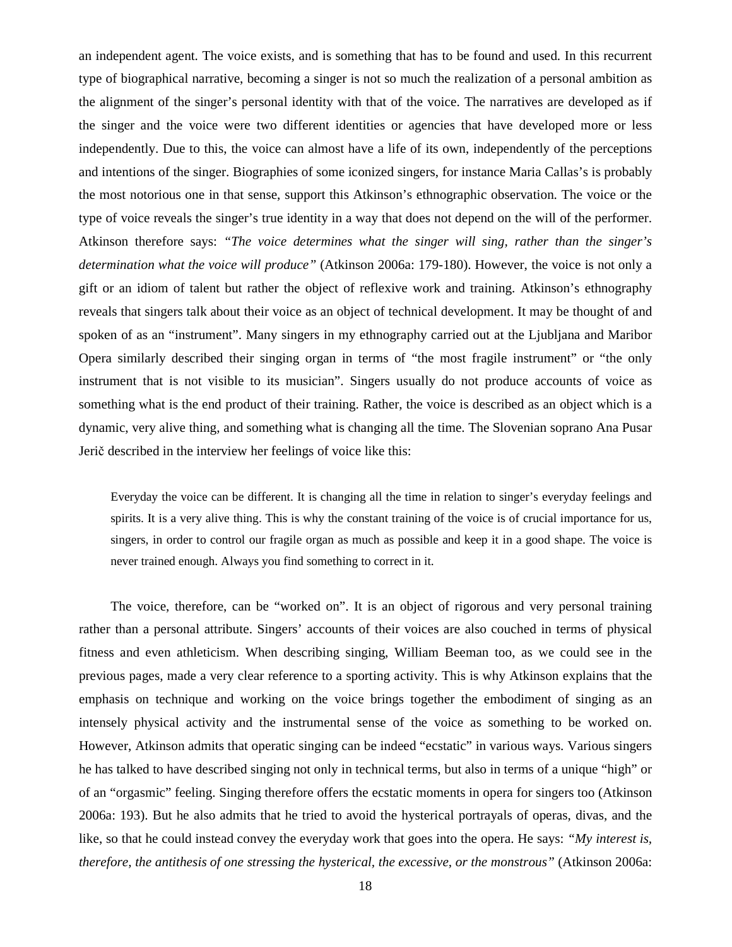an independent agent. The voice exists, and is something that has to be found and used. In this recurrent type of biographical narrative, becoming a singer is not so much the realization of a personal ambition as the alignment of the singer's personal identity with that of the voice. The narratives are developed as if the singer and the voice were two different identities or agencies that have developed more or less independently. Due to this, the voice can almost have a life of its own, independently of the perceptions and intentions of the singer. Biographies of some iconized singers, for instance Maria Callas's is probably the most notorious one in that sense, support this Atkinson's ethnographic observation. The voice or the type of voice reveals the singer's true identity in a way that does not depend on the will of the performer. Atkinson therefore says: *"The voice determines what the singer will sing, rather than the singer's determination what the voice will produce"* (Atkinson 2006a: 179-180). However, the voice is not only a gift or an idiom of talent but rather the object of reflexive work and training. Atkinson's ethnography reveals that singers talk about their voice as an object of technical development. It may be thought of and spoken of as an "instrument". Many singers in my ethnography carried out at the Ljubljana and Maribor Opera similarly described their singing organ in terms of "the most fragile instrument" or "the only instrument that is not visible to its musician". Singers usually do not produce accounts of voice as something what is the end product of their training. Rather, the voice is described as an object which is a dynamic, very alive thing, and something what is changing all the time. The Slovenian soprano Ana Pusar Jerič described in the interview her feelings of voice like this:

Everyday the voice can be different. It is changing all the time in relation to singer's everyday feelings and spirits. It is a very alive thing. This is why the constant training of the voice is of crucial importance for us, singers, in order to control our fragile organ as much as possible and keep it in a good shape. The voice is never trained enough. Always you find something to correct in it.

The voice, therefore, can be "worked on". It is an object of rigorous and very personal training rather than a personal attribute. Singers' accounts of their voices are also couched in terms of physical fitness and even athleticism. When describing singing, William Beeman too, as we could see in the previous pages, made a very clear reference to a sporting activity. This is why Atkinson explains that the emphasis on technique and working on the voice brings together the embodiment of singing as an intensely physical activity and the instrumental sense of the voice as something to be worked on. However, Atkinson admits that operatic singing can be indeed "ecstatic" in various ways. Various singers he has talked to have described singing not only in technical terms, but also in terms of a unique "high" or of an "orgasmic" feeling. Singing therefore offers the ecstatic moments in opera for singers too (Atkinson 2006a: 193). But he also admits that he tried to avoid the hysterical portrayals of operas, divas, and the like, so that he could instead convey the everyday work that goes into the opera. He says: *"My interest is, therefore, the antithesis of one stressing the hysterical, the excessive, or the monstrous"* (Atkinson 2006a: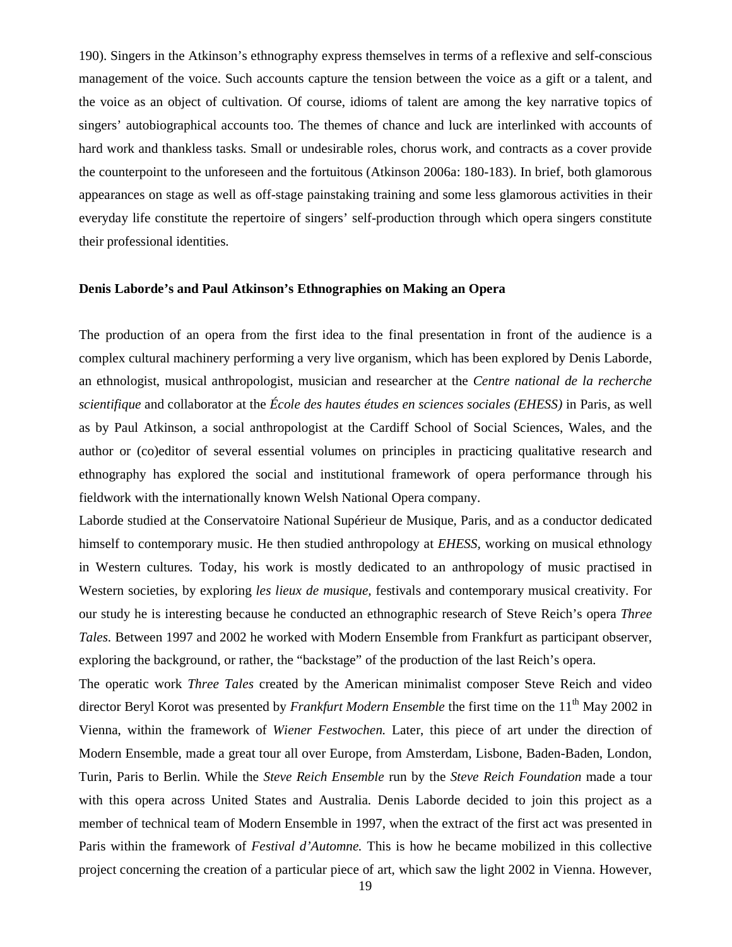190). Singers in the Atkinson's ethnography express themselves in terms of a reflexive and self-conscious management of the voice. Such accounts capture the tension between the voice as a gift or a talent, and the voice as an object of cultivation. Of course, idioms of talent are among the key narrative topics of singers' autobiographical accounts too. The themes of chance and luck are interlinked with accounts of hard work and thankless tasks. Small or undesirable roles, chorus work, and contracts as a cover provide the counterpoint to the unforeseen and the fortuitous (Atkinson 2006a: 180-183). In brief, both glamorous appearances on stage as well as off-stage painstaking training and some less glamorous activities in their everyday life constitute the repertoire of singers' self-production through which opera singers constitute their professional identities.

# **Denis Laborde's and Paul Atkinson's Ethnographies on Making an Opera**

The production of an opera from the first idea to the final presentation in front of the audience is a complex cultural machinery performing a very live organism, which has been explored by Denis Laborde, an ethnologist, musical anthropologist, musician and researcher at the *Centre national de la recherche scientifique* and collaborator at the *École des hautes études en sciences sociales (EHESS)* in Paris, as well as by Paul Atkinson, a social anthropologist at the Cardiff School of Social Sciences, Wales, and the author or (co)editor of several essential volumes on principles in practicing qualitative research and ethnography has explored the social and institutional framework of opera performance through his fieldwork with the internationally known Welsh National Opera company.

Laborde studied at the Conservatoire National Supérieur de Musique, Paris, and as a conductor dedicated himself to contemporary music. He then studied anthropology at *EHESS,* working on musical ethnology in Western cultures. Today, his work is mostly dedicated to an anthropology of music practised in Western societies, by exploring *les lieux de musique,* festivals and contemporary musical creativity. For our study he is interesting because he conducted an ethnographic research of Steve Reich's opera *Three Tales.* Between 1997 and 2002 he worked with Modern Ensemble from Frankfurt as participant observer, exploring the background, or rather, the "backstage" of the production of the last Reich's opera.

The operatic work *Three Tales* created by the American minimalist composer Steve Reich and video director Beryl Korot was presented by *Frankfurt Modern Ensemble* the first time on the 11<sup>th</sup> May 2002 in Vienna, within the framework of *Wiener Festwochen.* Later, this piece of art under the direction of Modern Ensemble, made a great tour all over Europe, from Amsterdam, Lisbone, Baden-Baden, London, Turin, Paris to Berlin. While the *Steve Reich Ensemble* run by the *Steve Reich Foundation* made a tour with this opera across United States and Australia. Denis Laborde decided to join this project as a member of technical team of Modern Ensemble in 1997, when the extract of the first act was presented in Paris within the framework of *Festival d'Automne.* This is how he became mobilized in this collective project concerning the creation of a particular piece of art, which saw the light 2002 in Vienna. However,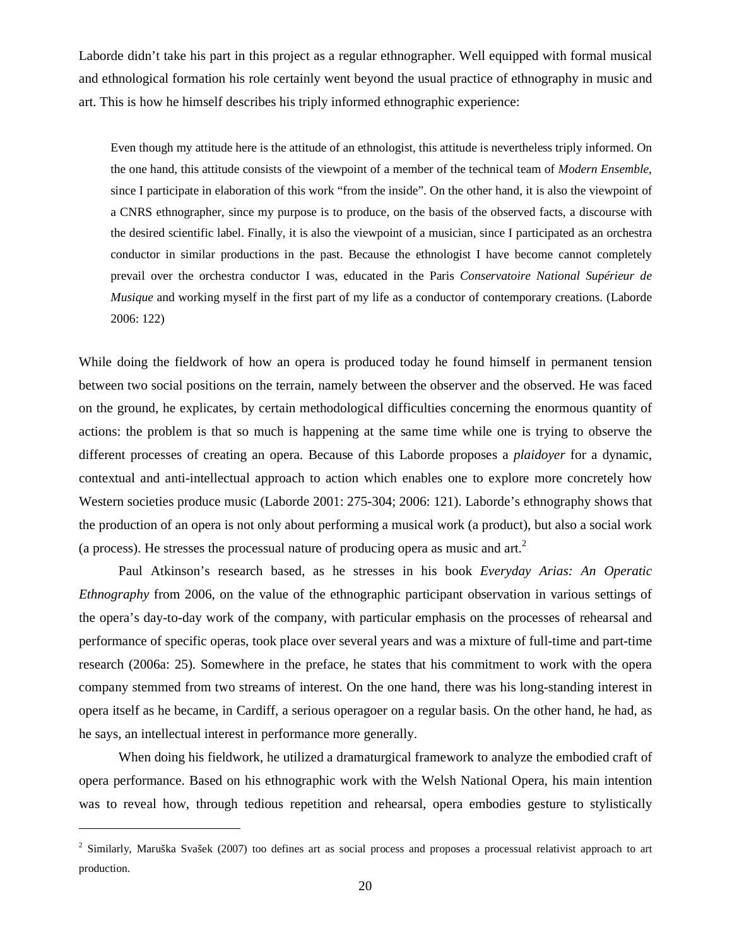Laborde didn't take his part in this project as a regular ethnographer. Well equipped with formal musical and ethnological formation his role certainly went beyond the usual practice of ethnography in music and art. This is how he himself describes his triply informed ethnographic experience:

Even though my attitude here is the attitude of an ethnologist, this attitude is nevertheless triply informed. On the one hand, this attitude consists of the viewpoint of a member of the technical team of *Modern Ensemble*, since I participate in elaboration of this work "from the inside". On the other hand, it is also the viewpoint of a CNRS ethnographer, since my purpose is to produce, on the basis of the observed facts, a discourse with the desired scientific label. Finally, it is also the viewpoint of a musician, since I participated as an orchestra conductor in similar productions in the past. Because the ethnologist I have become cannot completely prevail over the orchestra conductor I was, educated in the Paris *Conservatoire National Supérieur de Musique* and working myself in the first part of my life as a conductor of contemporary creations. (Laborde 2006: 122)

While doing the fieldwork of how an opera is produced today he found himself in permanent tension between two social positions on the terrain, namely between the observer and the observed. He was faced on the ground, he explicates, by certain methodological difficulties concerning the enormous quantity of actions: the problem is that so much is happening at the same time while one is trying to observe the different processes of creating an opera. Because of this Laborde proposes a *plaidoyer* for a dynamic, contextual and anti-intellectual approach to action which enables one to explore more concretely how Western societies produce music (Laborde 2001: 275-304; 2006: 121). Laborde's ethnography shows that the production of an opera is not only about performing a musical work (a product), but also a social work (a process). He stresses the processual nature of producing opera as music and art. $^2$ 

Paul Atkinson's research based, as he stresses in his book *Everyday Arias: An Operatic Ethnography* from 2006, on the value of the ethnographic participant observation in various settings of the opera's day-to-day work of the company, with particular emphasis on the processes of rehearsal and performance of specific operas, took place over several years and was a mixture of full-time and part-time research (2006a: 25). Somewhere in the preface, he states that his commitment to work with the opera company stemmed from two streams of interest. On the one hand, there was his long-standing interest in opera itself as he became, in Cardiff, a serious operagoer on a regular basis. On the other hand, he had, as he says, an intellectual interest in performance more generally.

When doing his fieldwork, he utilized a dramaturgical framework to analyze the embodied craft of opera performance. Based on his ethnographic work with the Welsh National Opera, his main intention was to reveal how, through tedious repetition and rehearsal, opera embodies gesture to stylistically

 $\ddot{\phantom{a}}$ 

 $2$  Similarly, Maruška Svašek (2007) too defines art as social process and proposes a processual relativist approach to art production.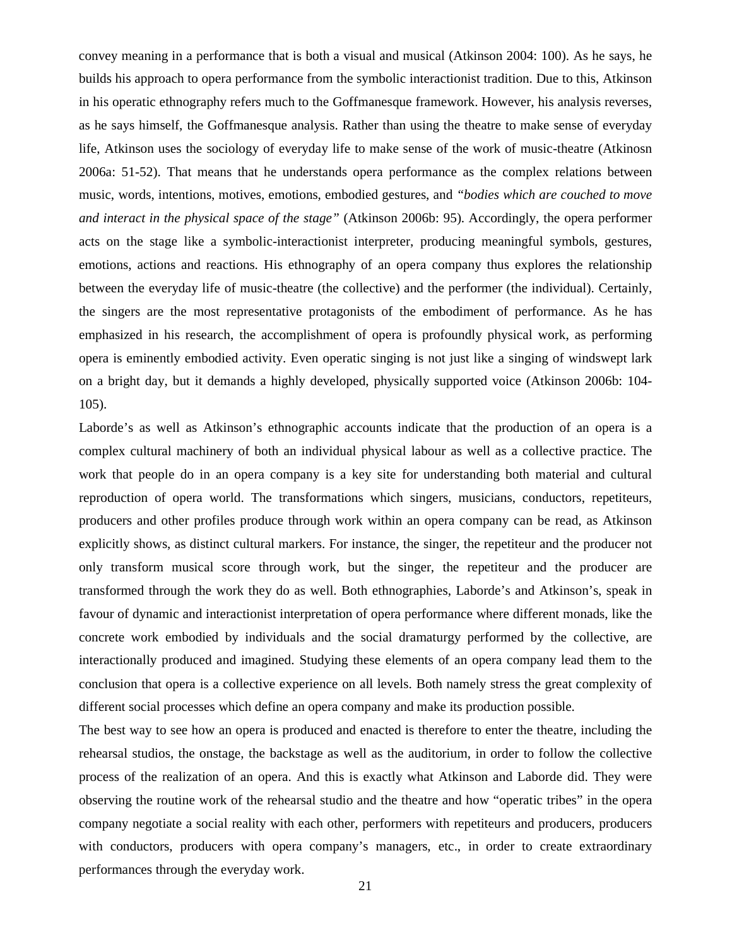convey meaning in a performance that is both a visual and musical (Atkinson 2004: 100). As he says, he builds his approach to opera performance from the symbolic interactionist tradition. Due to this, Atkinson in his operatic ethnography refers much to the Goffmanesque framework. However, his analysis reverses, as he says himself, the Goffmanesque analysis. Rather than using the theatre to make sense of everyday life, Atkinson uses the sociology of everyday life to make sense of the work of music-theatre (Atkinosn 2006a: 51-52). That means that he understands opera performance as the complex relations between music, words, intentions, motives, emotions, embodied gestures, and *"bodies which are couched to move and interact in the physical space of the stage"* (Atkinson 2006b: 95). Accordingly, the opera performer acts on the stage like a symbolic-interactionist interpreter, producing meaningful symbols, gestures, emotions, actions and reactions. His ethnography of an opera company thus explores the relationship between the everyday life of music-theatre (the collective) and the performer (the individual). Certainly, the singers are the most representative protagonists of the embodiment of performance. As he has emphasized in his research, the accomplishment of opera is profoundly physical work, as performing opera is eminently embodied activity. Even operatic singing is not just like a singing of windswept lark on a bright day, but it demands a highly developed, physically supported voice (Atkinson 2006b: 104- 105).

Laborde's as well as Atkinson's ethnographic accounts indicate that the production of an opera is a complex cultural machinery of both an individual physical labour as well as a collective practice. The work that people do in an opera company is a key site for understanding both material and cultural reproduction of opera world. The transformations which singers, musicians, conductors, repetiteurs, producers and other profiles produce through work within an opera company can be read, as Atkinson explicitly shows, as distinct cultural markers. For instance, the singer, the repetiteur and the producer not only transform musical score through work, but the singer, the repetiteur and the producer are transformed through the work they do as well. Both ethnographies, Laborde's and Atkinson's, speak in favour of dynamic and interactionist interpretation of opera performance where different monads, like the concrete work embodied by individuals and the social dramaturgy performed by the collective, are interactionally produced and imagined. Studying these elements of an opera company lead them to the conclusion that opera is a collective experience on all levels. Both namely stress the great complexity of different social processes which define an opera company and make its production possible.

The best way to see how an opera is produced and enacted is therefore to enter the theatre, including the rehearsal studios, the onstage, the backstage as well as the auditorium, in order to follow the collective process of the realization of an opera. And this is exactly what Atkinson and Laborde did. They were observing the routine work of the rehearsal studio and the theatre and how "operatic tribes" in the opera company negotiate a social reality with each other, performers with repetiteurs and producers, producers with conductors, producers with opera company's managers, etc., in order to create extraordinary performances through the everyday work.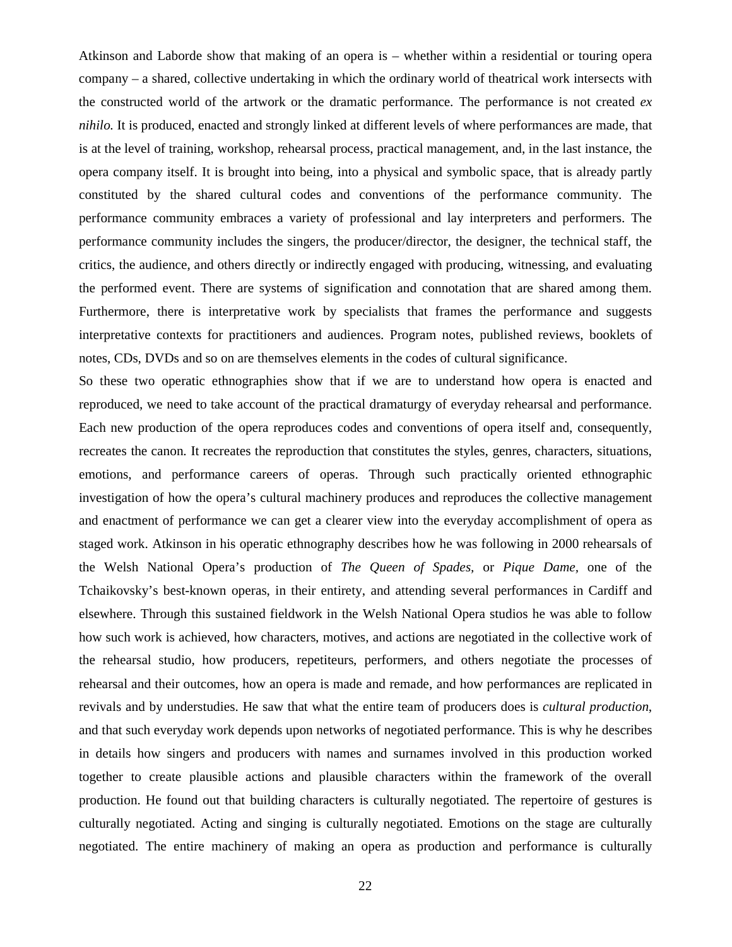Atkinson and Laborde show that making of an opera is – whether within a residential or touring opera company – a shared, collective undertaking in which the ordinary world of theatrical work intersects with the constructed world of the artwork or the dramatic performance. The performance is not created *ex nihilo.* It is produced, enacted and strongly linked at different levels of where performances are made, that is at the level of training, workshop, rehearsal process, practical management, and, in the last instance, the opera company itself. It is brought into being, into a physical and symbolic space, that is already partly constituted by the shared cultural codes and conventions of the performance community. The performance community embraces a variety of professional and lay interpreters and performers. The performance community includes the singers, the producer/director, the designer, the technical staff, the critics, the audience, and others directly or indirectly engaged with producing, witnessing, and evaluating the performed event. There are systems of signification and connotation that are shared among them. Furthermore, there is interpretative work by specialists that frames the performance and suggests interpretative contexts for practitioners and audiences. Program notes, published reviews, booklets of notes, CDs, DVDs and so on are themselves elements in the codes of cultural significance.

So these two operatic ethnographies show that if we are to understand how opera is enacted and reproduced, we need to take account of the practical dramaturgy of everyday rehearsal and performance. Each new production of the opera reproduces codes and conventions of opera itself and, consequently, recreates the canon. It recreates the reproduction that constitutes the styles, genres, characters, situations, emotions, and performance careers of operas. Through such practically oriented ethnographic investigation of how the opera's cultural machinery produces and reproduces the collective management and enactment of performance we can get a clearer view into the everyday accomplishment of opera as staged work. Atkinson in his operatic ethnography describes how he was following in 2000 rehearsals of the Welsh National Opera's production of *The Queen of Spades,* or *Pique Dame,* one of the Tchaikovsky's best-known operas, in their entirety, and attending several performances in Cardiff and elsewhere. Through this sustained fieldwork in the Welsh National Opera studios he was able to follow how such work is achieved, how characters, motives, and actions are negotiated in the collective work of the rehearsal studio, how producers, repetiteurs, performers, and others negotiate the processes of rehearsal and their outcomes, how an opera is made and remade, and how performances are replicated in revivals and by understudies. He saw that what the entire team of producers does is *cultural production*, and that such everyday work depends upon networks of negotiated performance. This is why he describes in details how singers and producers with names and surnames involved in this production worked together to create plausible actions and plausible characters within the framework of the overall production. He found out that building characters is culturally negotiated. The repertoire of gestures is culturally negotiated. Acting and singing is culturally negotiated. Emotions on the stage are culturally negotiated. The entire machinery of making an opera as production and performance is culturally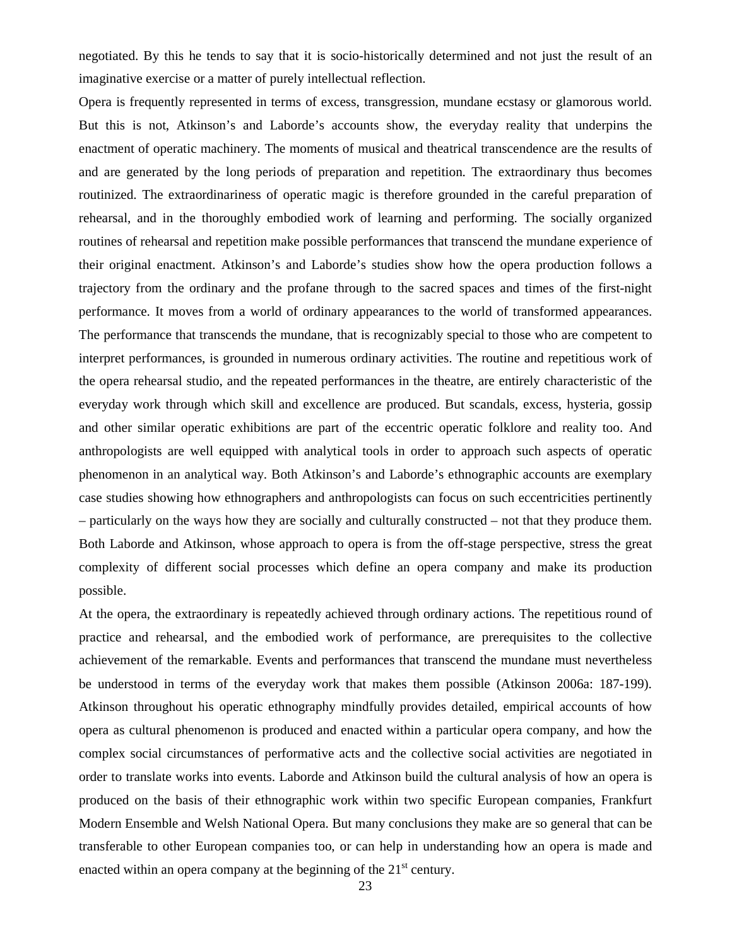negotiated. By this he tends to say that it is socio-historically determined and not just the result of an imaginative exercise or a matter of purely intellectual reflection.

Opera is frequently represented in terms of excess, transgression, mundane ecstasy or glamorous world. But this is not, Atkinson's and Laborde's accounts show, the everyday reality that underpins the enactment of operatic machinery. The moments of musical and theatrical transcendence are the results of and are generated by the long periods of preparation and repetition. The extraordinary thus becomes routinized. The extraordinariness of operatic magic is therefore grounded in the careful preparation of rehearsal, and in the thoroughly embodied work of learning and performing. The socially organized routines of rehearsal and repetition make possible performances that transcend the mundane experience of their original enactment. Atkinson's and Laborde's studies show how the opera production follows a trajectory from the ordinary and the profane through to the sacred spaces and times of the first-night performance. It moves from a world of ordinary appearances to the world of transformed appearances. The performance that transcends the mundane, that is recognizably special to those who are competent to interpret performances, is grounded in numerous ordinary activities. The routine and repetitious work of the opera rehearsal studio, and the repeated performances in the theatre, are entirely characteristic of the everyday work through which skill and excellence are produced. But scandals, excess, hysteria, gossip and other similar operatic exhibitions are part of the eccentric operatic folklore and reality too. And anthropologists are well equipped with analytical tools in order to approach such aspects of operatic phenomenon in an analytical way. Both Atkinson's and Laborde's ethnographic accounts are exemplary case studies showing how ethnographers and anthropologists can focus on such eccentricities pertinently – particularly on the ways how they are socially and culturally constructed – not that they produce them. Both Laborde and Atkinson, whose approach to opera is from the off-stage perspective, stress the great complexity of different social processes which define an opera company and make its production possible.

At the opera, the extraordinary is repeatedly achieved through ordinary actions. The repetitious round of practice and rehearsal, and the embodied work of performance, are prerequisites to the collective achievement of the remarkable. Events and performances that transcend the mundane must nevertheless be understood in terms of the everyday work that makes them possible (Atkinson 2006a: 187-199). Atkinson throughout his operatic ethnography mindfully provides detailed, empirical accounts of how opera as cultural phenomenon is produced and enacted within a particular opera company, and how the complex social circumstances of performative acts and the collective social activities are negotiated in order to translate works into events. Laborde and Atkinson build the cultural analysis of how an opera is produced on the basis of their ethnographic work within two specific European companies, Frankfurt Modern Ensemble and Welsh National Opera. But many conclusions they make are so general that can be transferable to other European companies too, or can help in understanding how an opera is made and enacted within an opera company at the beginning of the  $21<sup>st</sup>$  century.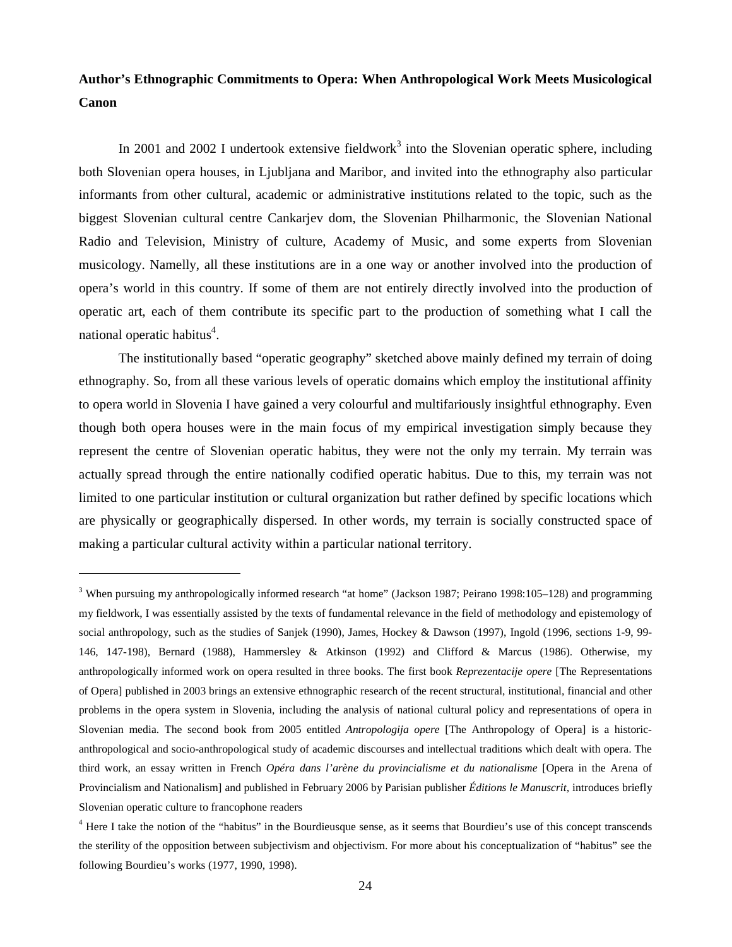# **Author's Ethnographic Commitments to Opera: When Anthropological Work Meets Musicological Canon**

In 2001 and 2002 I undertook extensive fieldwork<sup>3</sup> into the Slovenian operatic sphere, including both Slovenian opera houses, in Ljubljana and Maribor, and invited into the ethnography also particular informants from other cultural, academic or administrative institutions related to the topic, such as the biggest Slovenian cultural centre Cankarjev dom, the Slovenian Philharmonic, the Slovenian National Radio and Television, Ministry of culture, Academy of Music, and some experts from Slovenian musicology. Namelly, all these institutions are in a one way or another involved into the production of opera's world in this country. If some of them are not entirely directly involved into the production of operatic art, each of them contribute its specific part to the production of something what I call the national operatic habitus<sup>4</sup>.

The institutionally based "operatic geography" sketched above mainly defined my terrain of doing ethnography. So, from all these various levels of operatic domains which employ the institutional affinity to opera world in Slovenia I have gained a very colourful and multifariously insightful ethnography. Even though both opera houses were in the main focus of my empirical investigation simply because they represent the centre of Slovenian operatic habitus, they were not the only my terrain. My terrain was actually spread through the entire nationally codified operatic habitus. Due to this, my terrain was not limited to one particular institution or cultural organization but rather defined by specific locations which are physically or geographically dispersed. In other words, my terrain is socially constructed space of making a particular cultural activity within a particular national territory.

-

<sup>&</sup>lt;sup>3</sup> When pursuing my anthropologically informed research "at home" (Jackson 1987; Peirano 1998:105–128) and programming my fieldwork, I was essentially assisted by the texts of fundamental relevance in the field of methodology and epistemology of social anthropology, such as the studies of Sanjek (1990), James, Hockey & Dawson (1997), Ingold (1996, sections 1-9, 99- 146, 147-198), Bernard (1988), Hammersley & Atkinson (1992) and Clifford & Marcus (1986). Otherwise, my anthropologically informed work on opera resulted in three books. The first book *Reprezentacije opere* [The Representations of Opera] published in 2003 brings an extensive ethnographic research of the recent structural, institutional, financial and other problems in the opera system in Slovenia, including the analysis of national cultural policy and representations of opera in Slovenian media. The second book from 2005 entitled *Antropologija opere* [The Anthropology of Opera] is a historicanthropological and socio-anthropological study of academic discourses and intellectual traditions which dealt with opera. The third work, an essay written in French *Opéra dans l'arène du provincialisme et du nationalisme* [Opera in the Arena of Provincialism and Nationalism] and published in February 2006 by Parisian publisher *Éditions le Manuscrit,* introduces briefly Slovenian operatic culture to francophone readers

<sup>&</sup>lt;sup>4</sup> Here I take the notion of the "habitus" in the Bourdieusque sense, as it seems that Bourdieu's use of this concept transcends the sterility of the opposition between subjectivism and objectivism. For more about his conceptualization of "habitus" see the following Bourdieu's works (1977, 1990, 1998).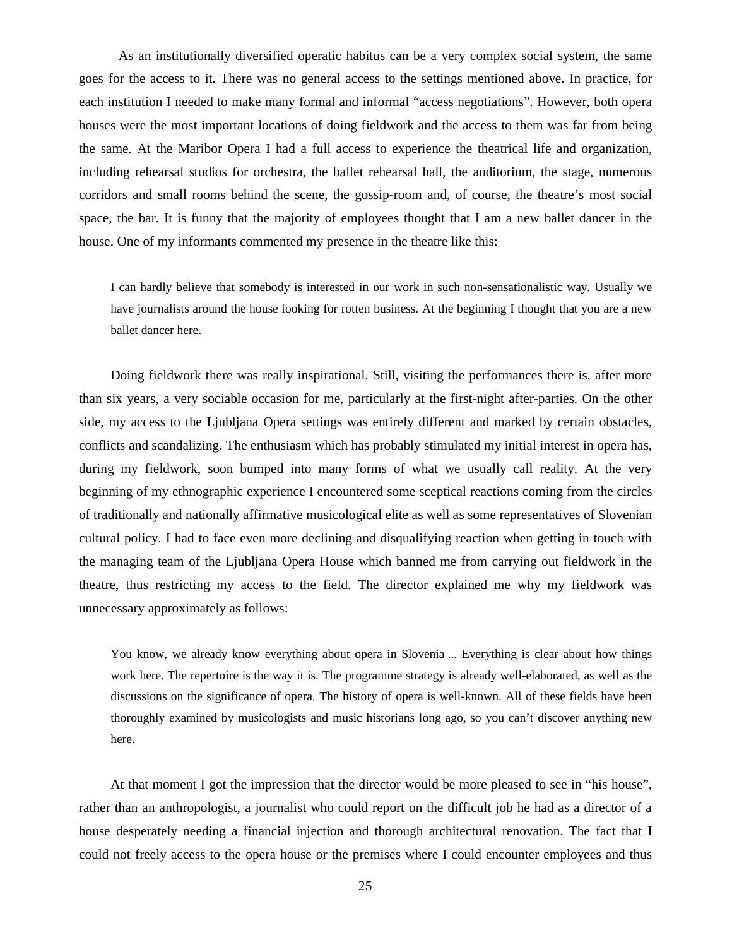As an institutionally diversified operatic habitus can be a very complex social system, the same goes for the access to it. There was no general access to the settings mentioned above. In practice, for each institution I needed to make many formal and informal "access negotiations". However, both opera houses were the most important locations of doing fieldwork and the access to them was far from being the same. At the Maribor Opera I had a full access to experience the theatrical life and organization, including rehearsal studios for orchestra, the ballet rehearsal hall, the auditorium, the stage, numerous corridors and small rooms behind the scene, the gossip-room and, of course, the theatre's most social space, the bar. It is funny that the majority of employees thought that I am a new ballet dancer in the house. One of my informants commented my presence in the theatre like this:

I can hardly believe that somebody is interested in our work in such non-sensationalistic way. Usually we have journalists around the house looking for rotten business. At the beginning I thought that you are a new ballet dancer here.

Doing fieldwork there was really inspirational. Still, visiting the performances there is, after more than six years, a very sociable occasion for me, particularly at the first-night after-parties. On the other side, my access to the Ljubljana Opera settings was entirely different and marked by certain obstacles, conflicts and scandalizing. The enthusiasm which has probably stimulated my initial interest in opera has, during my fieldwork, soon bumped into many forms of what we usually call reality. At the very beginning of my ethnographic experience I encountered some sceptical reactions coming from the circles of traditionally and nationally affirmative musicological elite as well as some representatives of Slovenian cultural policy. I had to face even more declining and disqualifying reaction when getting in touch with the managing team of the Ljubljana Opera House which banned me from carrying out fieldwork in the theatre, thus restricting my access to the field. The director explained me why my fieldwork was unnecessary approximately as follows:

You know, we already know everything about opera in Slovenia ... Everything is clear about how things work here. The repertoire is the way it is. The programme strategy is already well-elaborated, as well as the discussions on the significance of opera. The history of opera is well-known. All of these fields have been thoroughly examined by musicologists and music historians long ago, so you can't discover anything new here.

At that moment I got the impression that the director would be more pleased to see in "his house", rather than an anthropologist, a journalist who could report on the difficult job he had as a director of a house desperately needing a financial injection and thorough architectural renovation. The fact that I could not freely access to the opera house or the premises where I could encounter employees and thus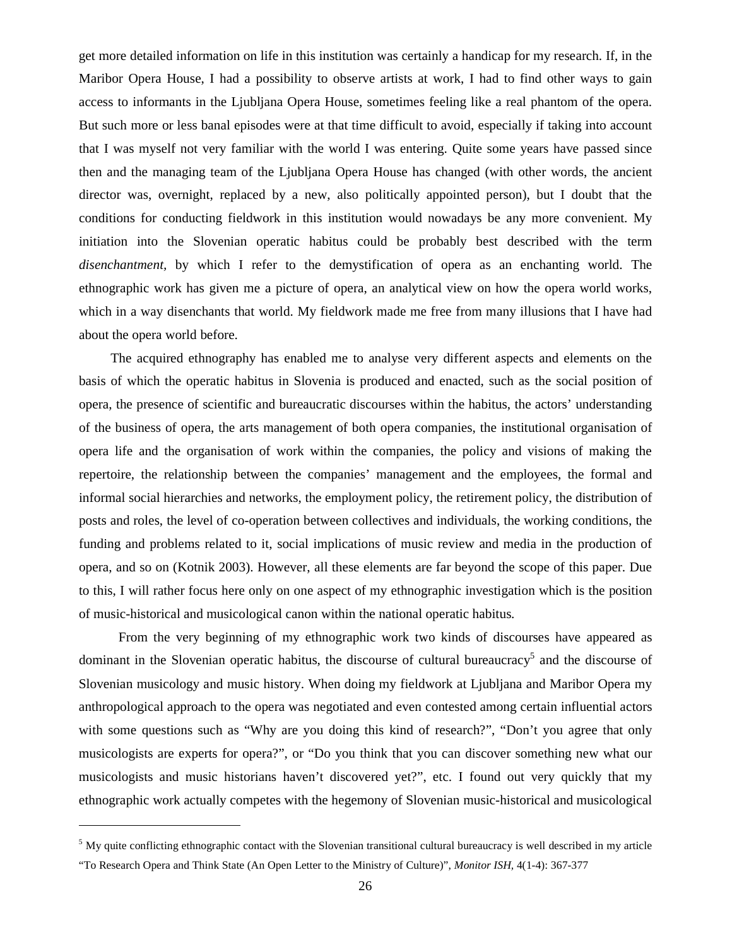get more detailed information on life in this institution was certainly a handicap for my research. If, in the Maribor Opera House, I had a possibility to observe artists at work, I had to find other ways to gain access to informants in the Ljubljana Opera House, sometimes feeling like a real phantom of the opera. But such more or less banal episodes were at that time difficult to avoid, especially if taking into account that I was myself not very familiar with the world I was entering. Quite some years have passed since then and the managing team of the Ljubljana Opera House has changed (with other words, the ancient director was, overnight, replaced by a new, also politically appointed person), but I doubt that the conditions for conducting fieldwork in this institution would nowadays be any more convenient. My initiation into the Slovenian operatic habitus could be probably best described with the term *disenchantment,* by which I refer to the demystification of opera as an enchanting world. The ethnographic work has given me a picture of opera, an analytical view on how the opera world works, which in a way disenchants that world. My fieldwork made me free from many illusions that I have had about the opera world before.

The acquired ethnography has enabled me to analyse very different aspects and elements on the basis of which the operatic habitus in Slovenia is produced and enacted, such as the social position of opera, the presence of scientific and bureaucratic discourses within the habitus, the actors' understanding of the business of opera, the arts management of both opera companies, the institutional organisation of opera life and the organisation of work within the companies, the policy and visions of making the repertoire, the relationship between the companies' management and the employees, the formal and informal social hierarchies and networks, the employment policy, the retirement policy, the distribution of posts and roles, the level of co-operation between collectives and individuals, the working conditions, the funding and problems related to it, social implications of music review and media in the production of opera, and so on (Kotnik 2003). However, all these elements are far beyond the scope of this paper. Due to this, I will rather focus here only on one aspect of my ethnographic investigation which is the position of music-historical and musicological canon within the national operatic habitus.

From the very beginning of my ethnographic work two kinds of discourses have appeared as dominant in the Slovenian operatic habitus, the discourse of cultural bureaucracy<sup>5</sup> and the discourse of Slovenian musicology and music history. When doing my fieldwork at Ljubljana and Maribor Opera my anthropological approach to the opera was negotiated and even contested among certain influential actors with some questions such as "Why are you doing this kind of research?", "Don't you agree that only musicologists are experts for opera?", or "Do you think that you can discover something new what our musicologists and music historians haven't discovered yet?", etc. I found out very quickly that my ethnographic work actually competes with the hegemony of Slovenian music-historical and musicological

-

 $<sup>5</sup>$  My quite conflicting ethnographic contact with the Slovenian transitional cultural bureaucracy is well described in my article</sup> "To Research Opera and Think State (An Open Letter to the Ministry of Culture)", *Monitor ISH,* 4(1-4): 367-377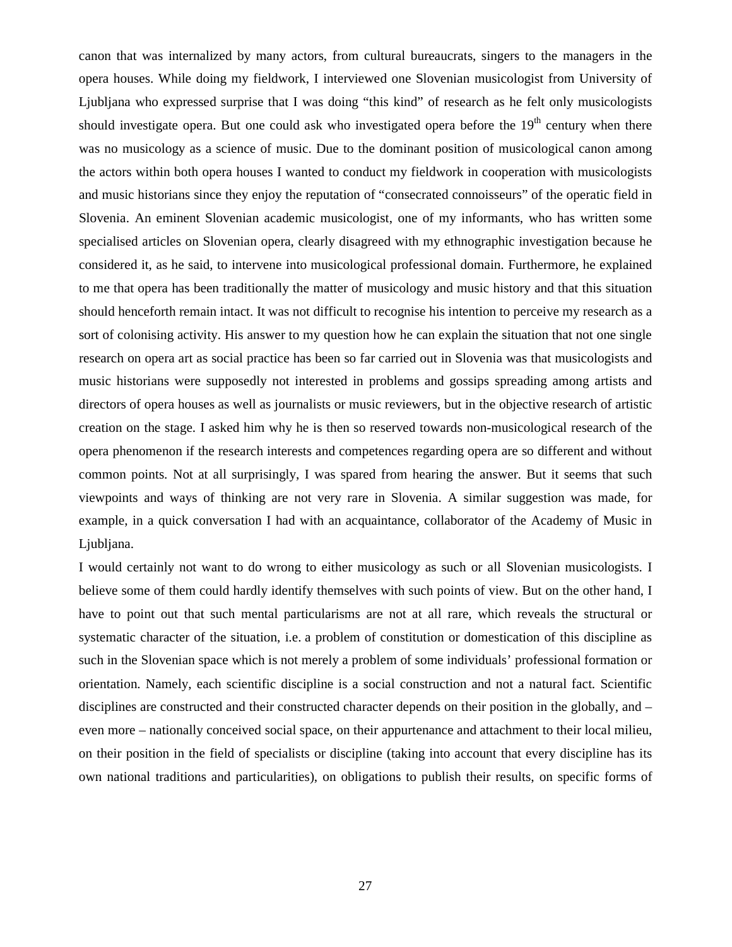canon that was internalized by many actors, from cultural bureaucrats, singers to the managers in the opera houses. While doing my fieldwork, I interviewed one Slovenian musicologist from University of Ljubljana who expressed surprise that I was doing "this kind" of research as he felt only musicologists should investigate opera. But one could ask who investigated opera before the  $19<sup>th</sup>$  century when there was no musicology as a science of music. Due to the dominant position of musicological canon among the actors within both opera houses I wanted to conduct my fieldwork in cooperation with musicologists and music historians since they enjoy the reputation of "consecrated connoisseurs" of the operatic field in Slovenia. An eminent Slovenian academic musicologist, one of my informants, who has written some specialised articles on Slovenian opera, clearly disagreed with my ethnographic investigation because he considered it, as he said, to intervene into musicological professional domain. Furthermore, he explained to me that opera has been traditionally the matter of musicology and music history and that this situation should henceforth remain intact. It was not difficult to recognise his intention to perceive my research as a sort of colonising activity. His answer to my question how he can explain the situation that not one single research on opera art as social practice has been so far carried out in Slovenia was that musicologists and music historians were supposedly not interested in problems and gossips spreading among artists and directors of opera houses as well as journalists or music reviewers, but in the objective research of artistic creation on the stage. I asked him why he is then so reserved towards non-musicological research of the opera phenomenon if the research interests and competences regarding opera are so different and without common points. Not at all surprisingly, I was spared from hearing the answer. But it seems that such viewpoints and ways of thinking are not very rare in Slovenia. A similar suggestion was made, for example, in a quick conversation I had with an acquaintance, collaborator of the Academy of Music in Ljubljana.

I would certainly not want to do wrong to either musicology as such or all Slovenian musicologists. I believe some of them could hardly identify themselves with such points of view. But on the other hand, I have to point out that such mental particularisms are not at all rare, which reveals the structural or systematic character of the situation, i.e. a problem of constitution or domestication of this discipline as such in the Slovenian space which is not merely a problem of some individuals' professional formation or orientation. Namely, each scientific discipline is a social construction and not a natural fact. Scientific disciplines are constructed and their constructed character depends on their position in the globally, and – even more – nationally conceived social space, on their appurtenance and attachment to their local milieu, on their position in the field of specialists or discipline (taking into account that every discipline has its own national traditions and particularities), on obligations to publish their results, on specific forms of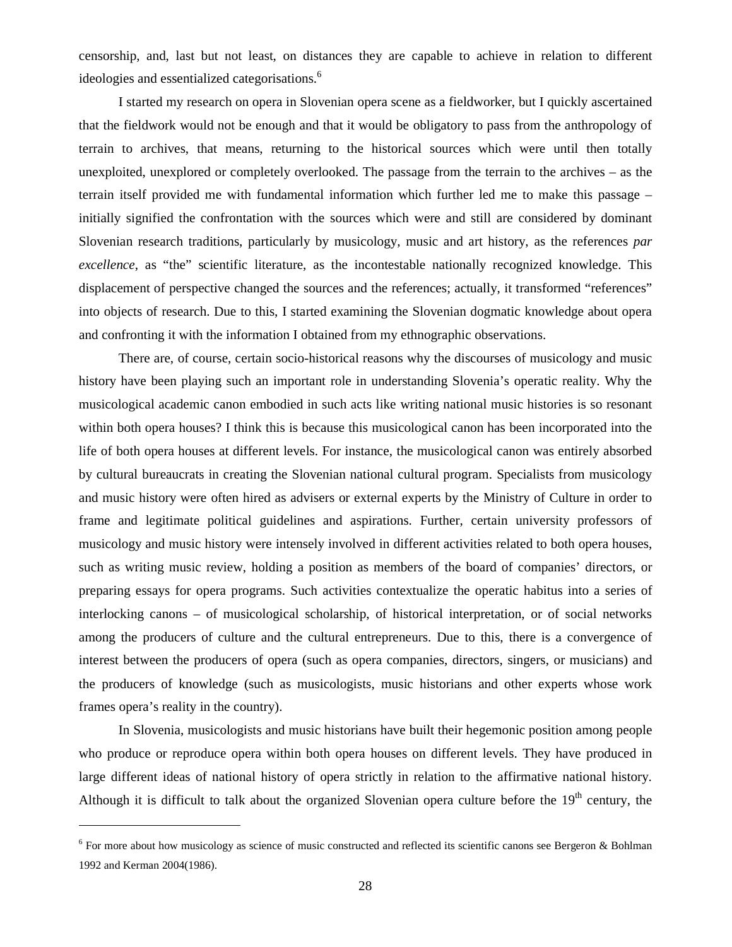censorship, and, last but not least, on distances they are capable to achieve in relation to different ideologies and essentialized categorisations.<sup>6</sup>

I started my research on opera in Slovenian opera scene as a fieldworker, but I quickly ascertained that the fieldwork would not be enough and that it would be obligatory to pass from the anthropology of terrain to archives, that means, returning to the historical sources which were until then totally unexploited, unexplored or completely overlooked. The passage from the terrain to the archives – as the terrain itself provided me with fundamental information which further led me to make this passage – initially signified the confrontation with the sources which were and still are considered by dominant Slovenian research traditions, particularly by musicology, music and art history, as the references *par excellence*, as "the" scientific literature, as the incontestable nationally recognized knowledge. This displacement of perspective changed the sources and the references; actually, it transformed "references" into objects of research. Due to this, I started examining the Slovenian dogmatic knowledge about opera and confronting it with the information I obtained from my ethnographic observations.

There are, of course, certain socio-historical reasons why the discourses of musicology and music history have been playing such an important role in understanding Slovenia's operatic reality. Why the musicological academic canon embodied in such acts like writing national music histories is so resonant within both opera houses? I think this is because this musicological canon has been incorporated into the life of both opera houses at different levels. For instance, the musicological canon was entirely absorbed by cultural bureaucrats in creating the Slovenian national cultural program. Specialists from musicology and music history were often hired as advisers or external experts by the Ministry of Culture in order to frame and legitimate political guidelines and aspirations. Further, certain university professors of musicology and music history were intensely involved in different activities related to both opera houses, such as writing music review, holding a position as members of the board of companies' directors, or preparing essays for opera programs. Such activities contextualize the operatic habitus into a series of interlocking canons – of musicological scholarship, of historical interpretation, or of social networks among the producers of culture and the cultural entrepreneurs. Due to this, there is a convergence of interest between the producers of opera (such as opera companies, directors, singers, or musicians) and the producers of knowledge (such as musicologists, music historians and other experts whose work frames opera's reality in the country).

In Slovenia, musicologists and music historians have built their hegemonic position among people who produce or reproduce opera within both opera houses on different levels. They have produced in large different ideas of national history of opera strictly in relation to the affirmative national history. Although it is difficult to talk about the organized Slovenian opera culture before the  $19<sup>th</sup>$  century, the

-

 $6$  For more about how musicology as science of music constructed and reflected its scientific canons see Bergeron & Bohlman 1992 and Kerman 2004(1986).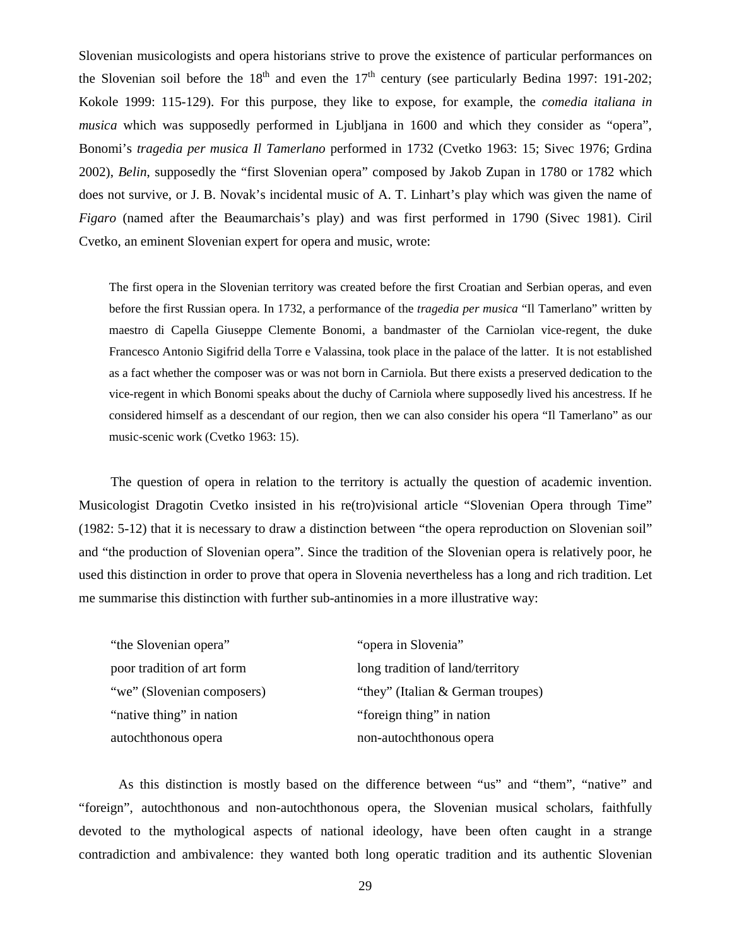Slovenian musicologists and opera historians strive to prove the existence of particular performances on the Slovenian soil before the  $18<sup>th</sup>$  and even the  $17<sup>th</sup>$  century (see particularly Bedina 1997: 191-202; Kokole 1999: 115-129). For this purpose, they like to expose, for example, the *comedia italiana in musica* which was supposedly performed in Ljubljana in 1600 and which they consider as "opera", Bonomi's *tragedia per musica Il Tamerlano* performed in 1732 (Cvetko 1963: 15; Sivec 1976; Grdina 2002), *Belin*, supposedly the "first Slovenian opera" composed by Jakob Zupan in 1780 or 1782 which does not survive, or J. B. Novak's incidental music of A. T. Linhart's play which was given the name of *Figaro* (named after the Beaumarchais's play) and was first performed in 1790 (Sivec 1981). Ciril Cvetko, an eminent Slovenian expert for opera and music, wrote:

The first opera in the Slovenian territory was created before the first Croatian and Serbian operas, and even before the first Russian opera. In 1732, a performance of the *tragedia per musica* "Il Tamerlano" written by maestro di Capella Giuseppe Clemente Bonomi, a bandmaster of the Carniolan vice-regent, the duke Francesco Antonio Sigifrid della Torre e Valassina, took place in the palace of the latter. It is not established as a fact whether the composer was or was not born in Carniola. But there exists a preserved dedication to the vice-regent in which Bonomi speaks about the duchy of Carniola where supposedly lived his ancestress. If he considered himself as a descendant of our region, then we can also consider his opera "Il Tamerlano" as our music-scenic work (Cvetko 1963: 15).

The question of opera in relation to the territory is actually the question of academic invention. Musicologist Dragotin Cvetko insisted in his re(tro)visional article "Slovenian Opera through Time" (1982: 5-12) that it is necessary to draw a distinction between "the opera reproduction on Slovenian soil" and "the production of Slovenian opera". Since the tradition of the Slovenian opera is relatively poor, he used this distinction in order to prove that opera in Slovenia nevertheless has a long and rich tradition. Let me summarise this distinction with further sub-antinomies in a more illustrative way:

| "the Slovenian opera"      | "opera in Slovenia"               |
|----------------------------|-----------------------------------|
| poor tradition of art form | long tradition of land/territory  |
| "we" (Slovenian composers) | "they" (Italian & German troupes) |
| "native thing" in nation   | "foreign thing" in nation"        |
| autochthonous opera        | non-autochthonous opera           |

As this distinction is mostly based on the difference between "us" and "them", "native" and "foreign", autochthonous and non-autochthonous opera, the Slovenian musical scholars, faithfully devoted to the mythological aspects of national ideology, have been often caught in a strange contradiction and ambivalence: they wanted both long operatic tradition and its authentic Slovenian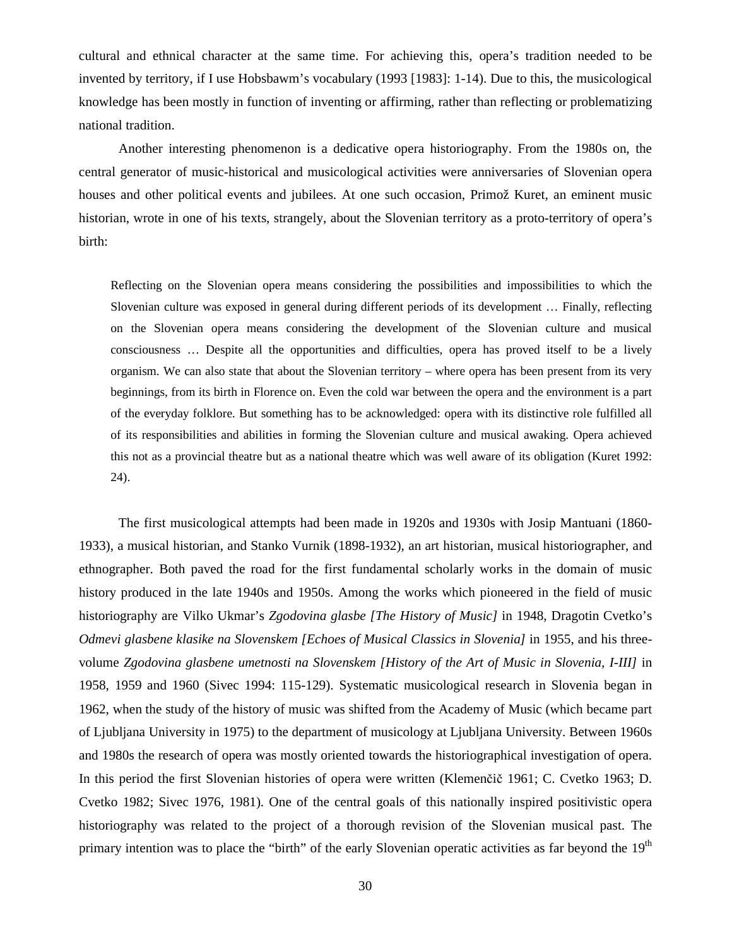cultural and ethnical character at the same time. For achieving this, opera's tradition needed to be invented by territory, if I use Hobsbawm's vocabulary (1993 [1983]: 1-14). Due to this, the musicological knowledge has been mostly in function of inventing or affirming, rather than reflecting or problematizing national tradition.

Another interesting phenomenon is a dedicative opera historiography. From the 1980s on, the central generator of music-historical and musicological activities were anniversaries of Slovenian opera houses and other political events and jubilees. At one such occasion, Primož Kuret, an eminent music historian, wrote in one of his texts, strangely, about the Slovenian territory as a proto-territory of opera's birth:

Reflecting on the Slovenian opera means considering the possibilities and impossibilities to which the Slovenian culture was exposed in general during different periods of its development … Finally, reflecting on the Slovenian opera means considering the development of the Slovenian culture and musical consciousness … Despite all the opportunities and difficulties, opera has proved itself to be a lively organism. We can also state that about the Slovenian territory – where opera has been present from its very beginnings, from its birth in Florence on. Even the cold war between the opera and the environment is a part of the everyday folklore. But something has to be acknowledged: opera with its distinctive role fulfilled all of its responsibilities and abilities in forming the Slovenian culture and musical awaking. Opera achieved this not as a provincial theatre but as a national theatre which was well aware of its obligation (Kuret 1992: 24).

The first musicological attempts had been made in 1920s and 1930s with Josip Mantuani (1860- 1933), a musical historian, and Stanko Vurnik (1898-1932), an art historian, musical historiographer, and ethnographer. Both paved the road for the first fundamental scholarly works in the domain of music history produced in the late 1940s and 1950s. Among the works which pioneered in the field of music historiography are Vilko Ukmar's *Zgodovina glasbe [The History of Music]* in 1948, Dragotin Cvetko's *Odmevi glasbene klasike na Slovenskem [Echoes of Musical Classics in Slovenia]* in 1955, and his threevolume *Zgodovina glasbene umetnosti na Slovenskem [History of the Art of Music in Slovenia, I-III]* in 1958, 1959 and 1960 (Sivec 1994: 115-129). Systematic musicological research in Slovenia began in 1962, when the study of the history of music was shifted from the Academy of Music (which became part of Ljubljana University in 1975) to the department of musicology at Ljubljana University. Between 1960s and 1980s the research of opera was mostly oriented towards the historiographical investigation of opera. In this period the first Slovenian histories of opera were written (Klemenčič 1961; C. Cvetko 1963; D. Cvetko 1982; Sivec 1976, 1981). One of the central goals of this nationally inspired positivistic opera historiography was related to the project of a thorough revision of the Slovenian musical past. The primary intention was to place the "birth" of the early Slovenian operatic activities as far beyond the 19<sup>th</sup>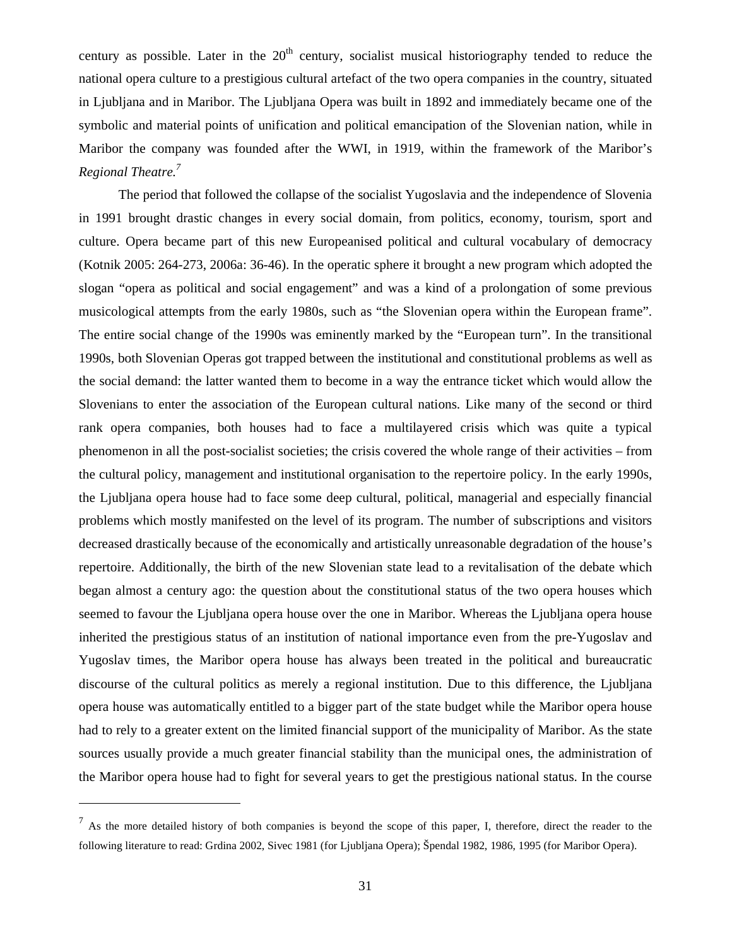century as possible. Later in the  $20<sup>th</sup>$  century, socialist musical historiography tended to reduce the national opera culture to a prestigious cultural artefact of the two opera companies in the country, situated in Ljubljana and in Maribor. The Ljubljana Opera was built in 1892 and immediately became one of the symbolic and material points of unification and political emancipation of the Slovenian nation, while in Maribor the company was founded after the WWI, in 1919, within the framework of the Maribor's *Regional Theatre.<sup>7</sup>* 

The period that followed the collapse of the socialist Yugoslavia and the independence of Slovenia in 1991 brought drastic changes in every social domain, from politics, economy, tourism, sport and culture. Opera became part of this new Europeanised political and cultural vocabulary of democracy (Kotnik 2005: 264-273, 2006a: 36-46). In the operatic sphere it brought a new program which adopted the slogan "opera as political and social engagement" and was a kind of a prolongation of some previous musicological attempts from the early 1980s, such as "the Slovenian opera within the European frame". The entire social change of the 1990s was eminently marked by the "European turn". In the transitional 1990s, both Slovenian Operas got trapped between the institutional and constitutional problems as well as the social demand: the latter wanted them to become in a way the entrance ticket which would allow the Slovenians to enter the association of the European cultural nations. Like many of the second or third rank opera companies, both houses had to face a multilayered crisis which was quite a typical phenomenon in all the post-socialist societies; the crisis covered the whole range of their activities – from the cultural policy, management and institutional organisation to the repertoire policy. In the early 1990s, the Ljubljana opera house had to face some deep cultural, political, managerial and especially financial problems which mostly manifested on the level of its program. The number of subscriptions and visitors decreased drastically because of the economically and artistically unreasonable degradation of the house's repertoire. Additionally, the birth of the new Slovenian state lead to a revitalisation of the debate which began almost a century ago: the question about the constitutional status of the two opera houses which seemed to favour the Ljubljana opera house over the one in Maribor. Whereas the Ljubljana opera house inherited the prestigious status of an institution of national importance even from the pre-Yugoslav and Yugoslav times, the Maribor opera house has always been treated in the political and bureaucratic discourse of the cultural politics as merely a regional institution. Due to this difference, the Ljubljana opera house was automatically entitled to a bigger part of the state budget while the Maribor opera house had to rely to a greater extent on the limited financial support of the municipality of Maribor. As the state sources usually provide a much greater financial stability than the municipal ones, the administration of the Maribor opera house had to fight for several years to get the prestigious national status. In the course

-

 $<sup>7</sup>$  As the more detailed history of both companies is beyond the scope of this paper, I, therefore, direct the reader to the</sup> following literature to read: Grdina 2002, Sivec 1981 (for Ljubljana Opera); Špendal 1982, 1986, 1995 (for Maribor Opera).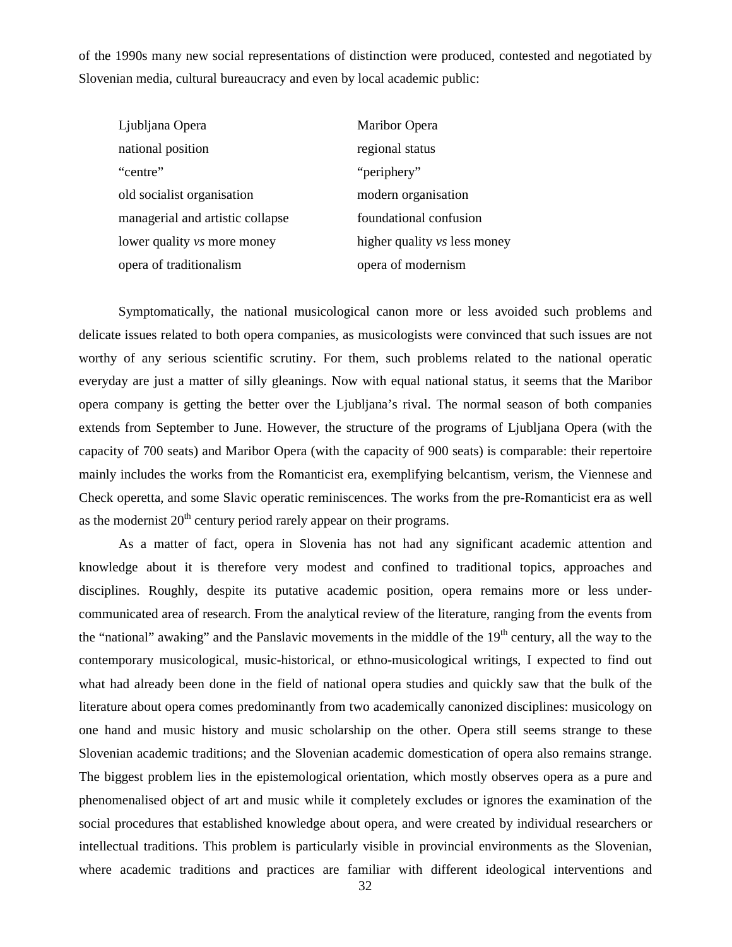of the 1990s many new social representations of distinction were produced, contested and negotiated by Slovenian media, cultural bureaucracy and even by local academic public:

| Ljubljana Opera                  | <b>Maribor Opera</b>         |
|----------------------------------|------------------------------|
| national position                | regional status              |
| "centre"                         | "periphery"                  |
| old socialist organisation       | modern organisation          |
| managerial and artistic collapse | foundational confusion       |
| lower quality vs more money      | higher quality vs less money |
| opera of traditionalism          | opera of modernism           |

Symptomatically, the national musicological canon more or less avoided such problems and delicate issues related to both opera companies, as musicologists were convinced that such issues are not worthy of any serious scientific scrutiny. For them, such problems related to the national operatic everyday are just a matter of silly gleanings. Now with equal national status, it seems that the Maribor opera company is getting the better over the Ljubljana's rival. The normal season of both companies extends from September to June. However, the structure of the programs of Ljubljana Opera (with the capacity of 700 seats) and Maribor Opera (with the capacity of 900 seats) is comparable: their repertoire mainly includes the works from the Romanticist era, exemplifying belcantism, verism, the Viennese and Check operetta, and some Slavic operatic reminiscences. The works from the pre-Romanticist era as well as the modernist  $20<sup>th</sup>$  century period rarely appear on their programs.

As a matter of fact, opera in Slovenia has not had any significant academic attention and knowledge about it is therefore very modest and confined to traditional topics, approaches and disciplines. Roughly, despite its putative academic position, opera remains more or less undercommunicated area of research. From the analytical review of the literature, ranging from the events from the "national" awaking" and the Panslavic movements in the middle of the 19<sup>th</sup> century, all the way to the contemporary musicological, music-historical, or ethno-musicological writings, I expected to find out what had already been done in the field of national opera studies and quickly saw that the bulk of the literature about opera comes predominantly from two academically canonized disciplines: musicology on one hand and music history and music scholarship on the other. Opera still seems strange to these Slovenian academic traditions; and the Slovenian academic domestication of opera also remains strange. The biggest problem lies in the epistemological orientation, which mostly observes opera as a pure and phenomenalised object of art and music while it completely excludes or ignores the examination of the social procedures that established knowledge about opera, and were created by individual researchers or intellectual traditions. This problem is particularly visible in provincial environments as the Slovenian, where academic traditions and practices are familiar with different ideological interventions and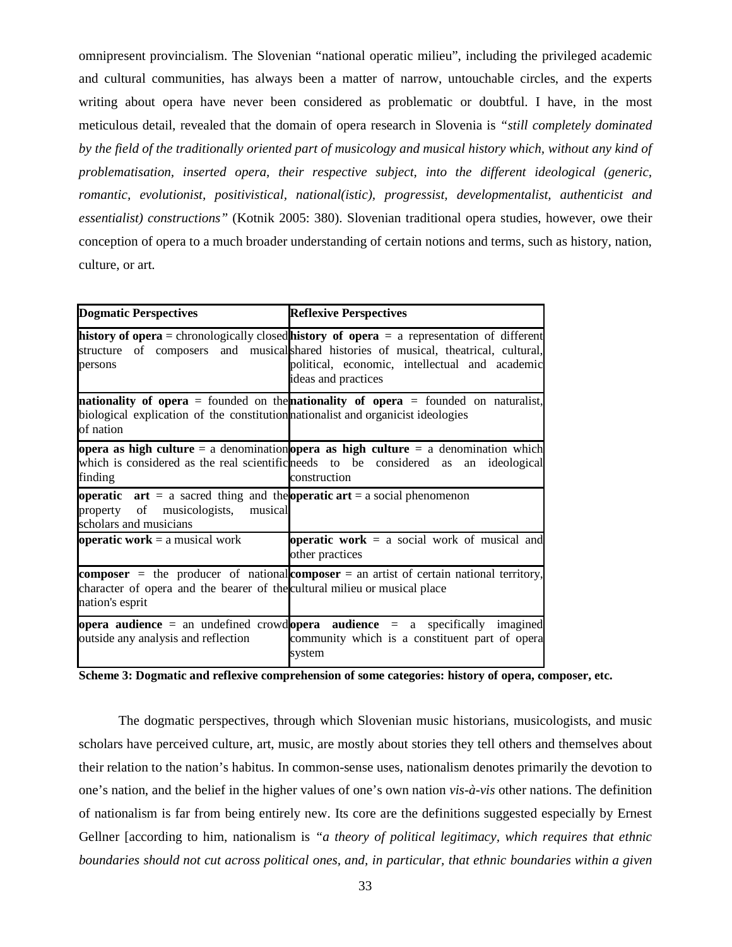omnipresent provincialism. The Slovenian "national operatic milieu", including the privileged academic and cultural communities, has always been a matter of narrow, untouchable circles, and the experts writing about opera have never been considered as problematic or doubtful. I have, in the most meticulous detail, revealed that the domain of opera research in Slovenia is *"still completely dominated by the field of the traditionally oriented part of musicology and musical history which, without any kind of problematisation, inserted opera, their respective subject, into the different ideological (generic, romantic, evolutionist, positivistical, national(istic), progressist, developmentalist, authenticist and essentialist) constructions"* (Kotnik 2005: 380). Slovenian traditional opera studies, however, owe their conception of opera to a much broader understanding of certain notions and terms, such as history, nation, culture, or art.

| <b>Dogmatic Perspectives</b>                                                                                                                                                                          | <b>Reflexive Perspectives</b>                                                                                                                                                                                                                                              |
|-------------------------------------------------------------------------------------------------------------------------------------------------------------------------------------------------------|----------------------------------------------------------------------------------------------------------------------------------------------------------------------------------------------------------------------------------------------------------------------------|
| persons                                                                                                                                                                                               | <b>history of opera</b> = chronologically closed <b>history of opera</b> = a representation of different<br>structure of composers and musical shared histories of musical, theatrical, cultural,<br>political, economic, intellectual and academic<br>ideas and practices |
| biological explication of the constitution nationalist and organicist ideologies<br>of nation                                                                                                         | <b>nationality of opera</b> = founded on the <b>nationality of opera</b> = founded on naturalist,                                                                                                                                                                          |
| which is considered as the real scientific needs to be considered as<br>finding                                                                                                                       | <b>opera as high culture</b> = a denomination <b>opera as high culture</b> = a denomination which<br>ideological<br>an<br>construction                                                                                                                                     |
| <b>operatic</b> $art = a$ sacred thing and the <b>operatic</b> $art = a$ social phenomenon<br>property of musicologists,<br>musical<br>scholars and musicians                                         |                                                                                                                                                                                                                                                                            |
| <b>operatic work</b> = a musical work                                                                                                                                                                 | <b>operatic work</b> = a social work of musical and<br>other practices                                                                                                                                                                                                     |
| <b>composer</b> = the producer of national <b>composer</b> = an artist of certain national territory,<br>character of opera and the bearer of the cultural milieu or musical place<br>nation's esprit |                                                                                                                                                                                                                                                                            |
| outside any analysis and reflection                                                                                                                                                                   | <b>opera audience</b> = an undefined crowd <b>opera audience</b> = a specifically imagined<br>community which is a constituent part of operal<br>system                                                                                                                    |

**Scheme 3: Dogmatic and reflexive comprehension of some categories: history of opera, composer, etc.**

The dogmatic perspectives, through which Slovenian music historians, musicologists, and music scholars have perceived culture, art, music, are mostly about stories they tell others and themselves about their relation to the nation's habitus. In common-sense uses, nationalism denotes primarily the devotion to one's nation, and the belief in the higher values of one's own nation *vis-à-vis* other nations. The definition of nationalism is far from being entirely new. Its core are the definitions suggested especially by Ernest Gellner [according to him, nationalism is *"a theory of political legitimacy, which requires that ethnic boundaries should not cut across political ones, and, in particular, that ethnic boundaries within a given*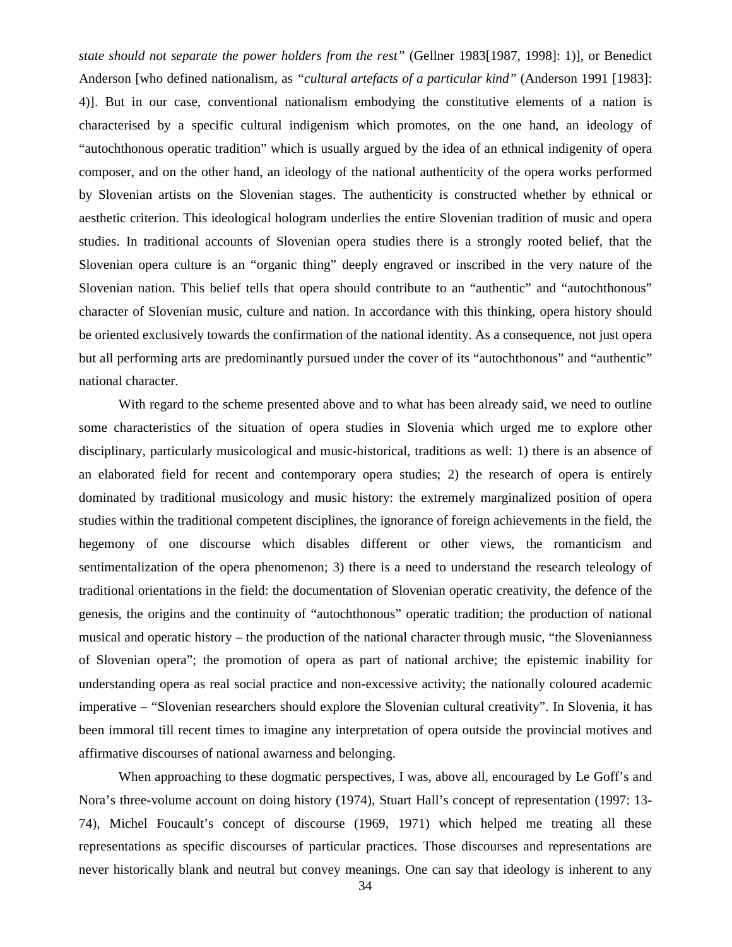*state should not separate the power holders from the rest"* (Gellner 1983[1987, 1998]: 1)], or Benedict Anderson [who defined nationalism, as *"cultural artefacts of a particular kind"* (Anderson 1991 [1983]: 4)]. But in our case, conventional nationalism embodying the constitutive elements of a nation is characterised by a specific cultural indigenism which promotes, on the one hand, an ideology of "autochthonous operatic tradition" which is usually argued by the idea of an ethnical indigenity of opera composer, and on the other hand, an ideology of the national authenticity of the opera works performed by Slovenian artists on the Slovenian stages. The authenticity is constructed whether by ethnical or aesthetic criterion. This ideological hologram underlies the entire Slovenian tradition of music and opera studies. In traditional accounts of Slovenian opera studies there is a strongly rooted belief, that the Slovenian opera culture is an "organic thing" deeply engraved or inscribed in the very nature of the Slovenian nation. This belief tells that opera should contribute to an "authentic" and "autochthonous" character of Slovenian music, culture and nation. In accordance with this thinking, opera history should be oriented exclusively towards the confirmation of the national identity. As a consequence, not just opera but all performing arts are predominantly pursued under the cover of its "autochthonous" and "authentic" national character.

With regard to the scheme presented above and to what has been already said, we need to outline some characteristics of the situation of opera studies in Slovenia which urged me to explore other disciplinary, particularly musicological and music-historical, traditions as well: 1) there is an absence of an elaborated field for recent and contemporary opera studies; 2) the research of opera is entirely dominated by traditional musicology and music history: the extremely marginalized position of opera studies within the traditional competent disciplines, the ignorance of foreign achievements in the field, the hegemony of one discourse which disables different or other views, the romanticism and sentimentalization of the opera phenomenon; 3) there is a need to understand the research teleology of traditional orientations in the field: the documentation of Slovenian operatic creativity, the defence of the genesis, the origins and the continuity of "autochthonous" operatic tradition; the production of national musical and operatic history – the production of the national character through music, "the Slovenianness of Slovenian opera"; the promotion of opera as part of national archive; the epistemic inability for understanding opera as real social practice and non-excessive activity; the nationally coloured academic imperative – "Slovenian researchers should explore the Slovenian cultural creativity". In Slovenia, it has been immoral till recent times to imagine any interpretation of opera outside the provincial motives and affirmative discourses of national awarness and belonging.

When approaching to these dogmatic perspectives, I was, above all, encouraged by Le Goff's and Nora's three-volume account on doing history (1974), Stuart Hall's concept of representation (1997: 13- 74), Michel Foucault's concept of discourse (1969, 1971) which helped me treating all these representations as specific discourses of particular practices. Those discourses and representations are never historically blank and neutral but convey meanings. One can say that ideology is inherent to any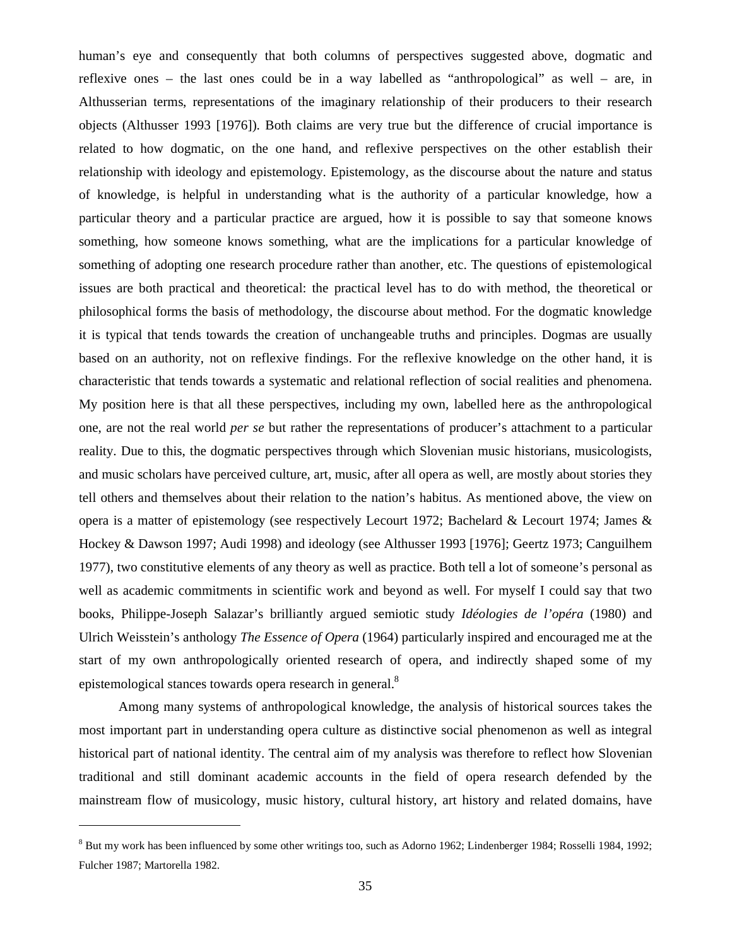human's eye and consequently that both columns of perspectives suggested above, dogmatic and reflexive ones – the last ones could be in a way labelled as "anthropological" as well – are, in Althusserian terms, representations of the imaginary relationship of their producers to their research objects (Althusser 1993 [1976]). Both claims are very true but the difference of crucial importance is related to how dogmatic, on the one hand, and reflexive perspectives on the other establish their relationship with ideology and epistemology. Epistemology, as the discourse about the nature and status of knowledge, is helpful in understanding what is the authority of a particular knowledge, how a particular theory and a particular practice are argued, how it is possible to say that someone knows something, how someone knows something, what are the implications for a particular knowledge of something of adopting one research procedure rather than another, etc. The questions of epistemological issues are both practical and theoretical: the practical level has to do with method, the theoretical or philosophical forms the basis of methodology, the discourse about method. For the dogmatic knowledge it is typical that tends towards the creation of unchangeable truths and principles. Dogmas are usually based on an authority, not on reflexive findings. For the reflexive knowledge on the other hand, it is characteristic that tends towards a systematic and relational reflection of social realities and phenomena. My position here is that all these perspectives, including my own, labelled here as the anthropological one, are not the real world *per se* but rather the representations of producer's attachment to a particular reality. Due to this, the dogmatic perspectives through which Slovenian music historians, musicologists, and music scholars have perceived culture, art, music, after all opera as well, are mostly about stories they tell others and themselves about their relation to the nation's habitus. As mentioned above, the view on opera is a matter of epistemology (see respectively Lecourt 1972; Bachelard & Lecourt 1974; James & Hockey & Dawson 1997; Audi 1998) and ideology (see Althusser 1993 [1976]; Geertz 1973; Canguilhem 1977), two constitutive elements of any theory as well as practice. Both tell a lot of someone's personal as well as academic commitments in scientific work and beyond as well. For myself I could say that two books, Philippe-Joseph Salazar's brilliantly argued semiotic study *Idéologies de l'opéra* (1980) and Ulrich Weisstein's anthology *The Essence of Opera* (1964) particularly inspired and encouraged me at the start of my own anthropologically oriented research of opera, and indirectly shaped some of my epistemological stances towards opera research in general.<sup>8</sup>

Among many systems of anthropological knowledge, the analysis of historical sources takes the most important part in understanding opera culture as distinctive social phenomenon as well as integral historical part of national identity. The central aim of my analysis was therefore to reflect how Slovenian traditional and still dominant academic accounts in the field of opera research defended by the mainstream flow of musicology, music history, cultural history, art history and related domains, have

 $\overline{a}$ 

<sup>&</sup>lt;sup>8</sup> But my work has been influenced by some other writings too, such as Adorno 1962; Lindenberger 1984; Rosselli 1984, 1992; Fulcher 1987; Martorella 1982.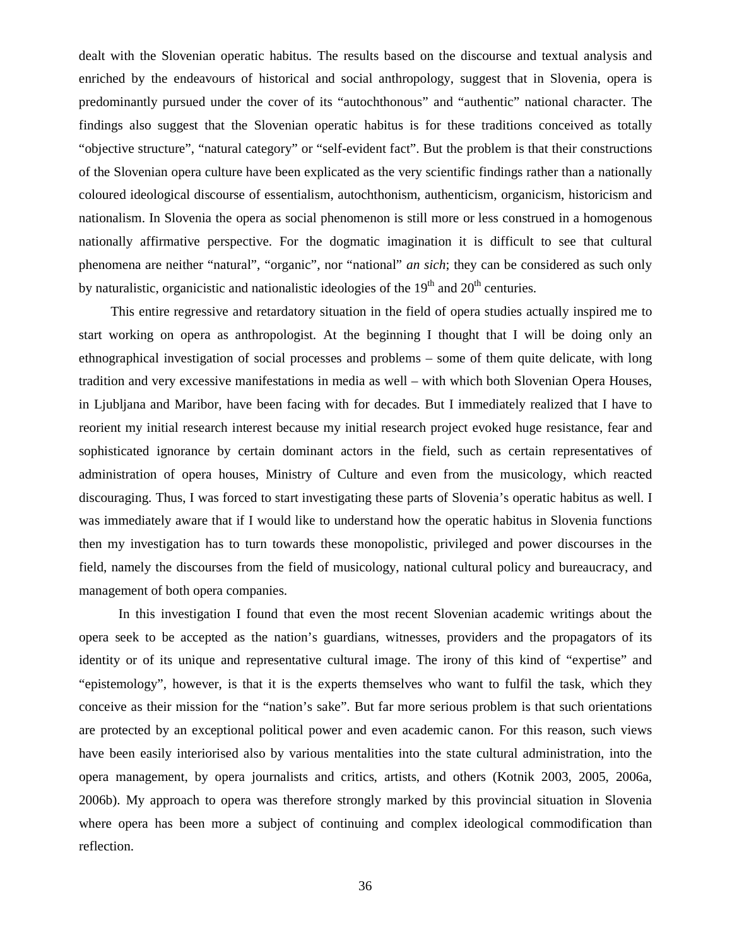dealt with the Slovenian operatic habitus. The results based on the discourse and textual analysis and enriched by the endeavours of historical and social anthropology, suggest that in Slovenia, opera is predominantly pursued under the cover of its "autochthonous" and "authentic" national character. The findings also suggest that the Slovenian operatic habitus is for these traditions conceived as totally "objective structure", "natural category" or "self-evident fact". But the problem is that their constructions of the Slovenian opera culture have been explicated as the very scientific findings rather than a nationally coloured ideological discourse of essentialism, autochthonism, authenticism, organicism, historicism and nationalism. In Slovenia the opera as social phenomenon is still more or less construed in a homogenous nationally affirmative perspective. For the dogmatic imagination it is difficult to see that cultural phenomena are neither "natural", "organic", nor "national" *an sich*; they can be considered as such only by naturalistic, organicistic and nationalistic ideologies of the  $19<sup>th</sup>$  and  $20<sup>th</sup>$  centuries.

This entire regressive and retardatory situation in the field of opera studies actually inspired me to start working on opera as anthropologist. At the beginning I thought that I will be doing only an ethnographical investigation of social processes and problems – some of them quite delicate, with long tradition and very excessive manifestations in media as well – with which both Slovenian Opera Houses, in Ljubljana and Maribor, have been facing with for decades. But I immediately realized that I have to reorient my initial research interest because my initial research project evoked huge resistance, fear and sophisticated ignorance by certain dominant actors in the field, such as certain representatives of administration of opera houses, Ministry of Culture and even from the musicology, which reacted discouraging. Thus, I was forced to start investigating these parts of Slovenia's operatic habitus as well. I was immediately aware that if I would like to understand how the operatic habitus in Slovenia functions then my investigation has to turn towards these monopolistic, privileged and power discourses in the field, namely the discourses from the field of musicology, national cultural policy and bureaucracy, and management of both opera companies.

In this investigation I found that even the most recent Slovenian academic writings about the opera seek to be accepted as the nation's guardians, witnesses, providers and the propagators of its identity or of its unique and representative cultural image. The irony of this kind of "expertise" and "epistemology", however, is that it is the experts themselves who want to fulfil the task, which they conceive as their mission for the "nation's sake". But far more serious problem is that such orientations are protected by an exceptional political power and even academic canon. For this reason, such views have been easily interiorised also by various mentalities into the state cultural administration, into the opera management, by opera journalists and critics, artists, and others (Kotnik 2003, 2005, 2006a, 2006b). My approach to opera was therefore strongly marked by this provincial situation in Slovenia where opera has been more a subject of continuing and complex ideological commodification than reflection.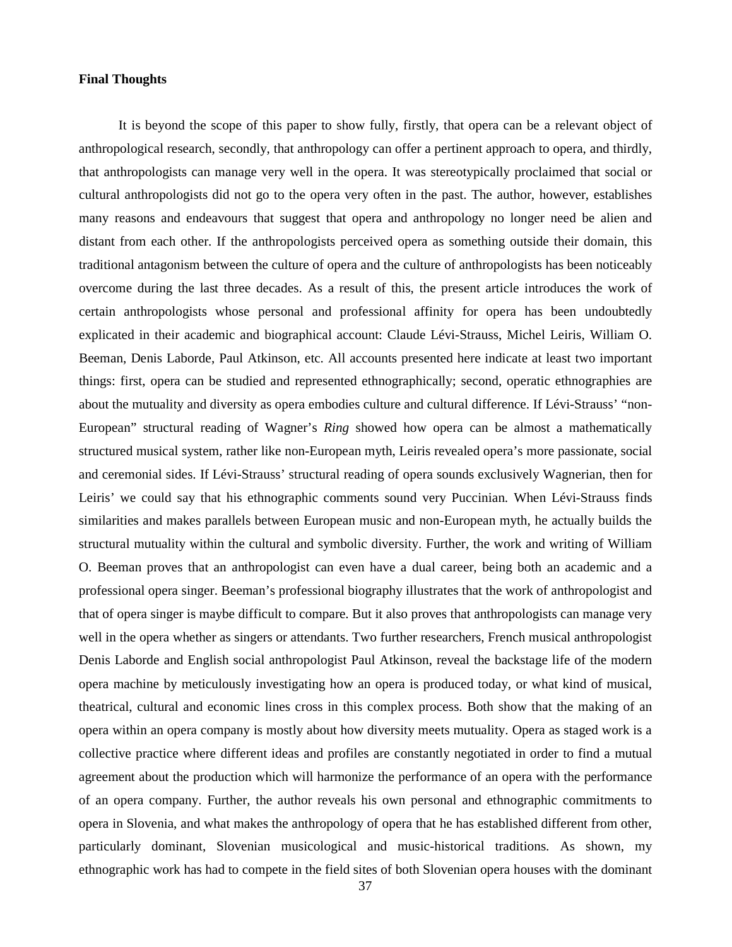# **Final Thoughts**

It is beyond the scope of this paper to show fully, firstly, that opera can be a relevant object of anthropological research, secondly, that anthropology can offer a pertinent approach to opera, and thirdly, that anthropologists can manage very well in the opera. It was stereotypically proclaimed that social or cultural anthropologists did not go to the opera very often in the past. The author, however, establishes many reasons and endeavours that suggest that opera and anthropology no longer need be alien and distant from each other. If the anthropologists perceived opera as something outside their domain, this traditional antagonism between the culture of opera and the culture of anthropologists has been noticeably overcome during the last three decades. As a result of this, the present article introduces the work of certain anthropologists whose personal and professional affinity for opera has been undoubtedly explicated in their academic and biographical account: Claude Lévi-Strauss, Michel Leiris, William O. Beeman, Denis Laborde, Paul Atkinson, etc. All accounts presented here indicate at least two important things: first, opera can be studied and represented ethnographically; second, operatic ethnographies are about the mutuality and diversity as opera embodies culture and cultural difference. If Lévi-Strauss' "non-European" structural reading of Wagner's *Ring* showed how opera can be almost a mathematically structured musical system, rather like non-European myth, Leiris revealed opera's more passionate, social and ceremonial sides. If Lévi-Strauss' structural reading of opera sounds exclusively Wagnerian, then for Leiris' we could say that his ethnographic comments sound very Puccinian. When Lévi-Strauss finds similarities and makes parallels between European music and non-European myth, he actually builds the structural mutuality within the cultural and symbolic diversity. Further, the work and writing of William O. Beeman proves that an anthropologist can even have a dual career, being both an academic and a professional opera singer. Beeman's professional biography illustrates that the work of anthropologist and that of opera singer is maybe difficult to compare. But it also proves that anthropologists can manage very well in the opera whether as singers or attendants. Two further researchers, French musical anthropologist Denis Laborde and English social anthropologist Paul Atkinson, reveal the backstage life of the modern opera machine by meticulously investigating how an opera is produced today, or what kind of musical, theatrical, cultural and economic lines cross in this complex process. Both show that the making of an opera within an opera company is mostly about how diversity meets mutuality. Opera as staged work is a collective practice where different ideas and profiles are constantly negotiated in order to find a mutual agreement about the production which will harmonize the performance of an opera with the performance of an opera company. Further, the author reveals his own personal and ethnographic commitments to opera in Slovenia, and what makes the anthropology of opera that he has established different from other, particularly dominant, Slovenian musicological and music-historical traditions. As shown, my ethnographic work has had to compete in the field sites of both Slovenian opera houses with the dominant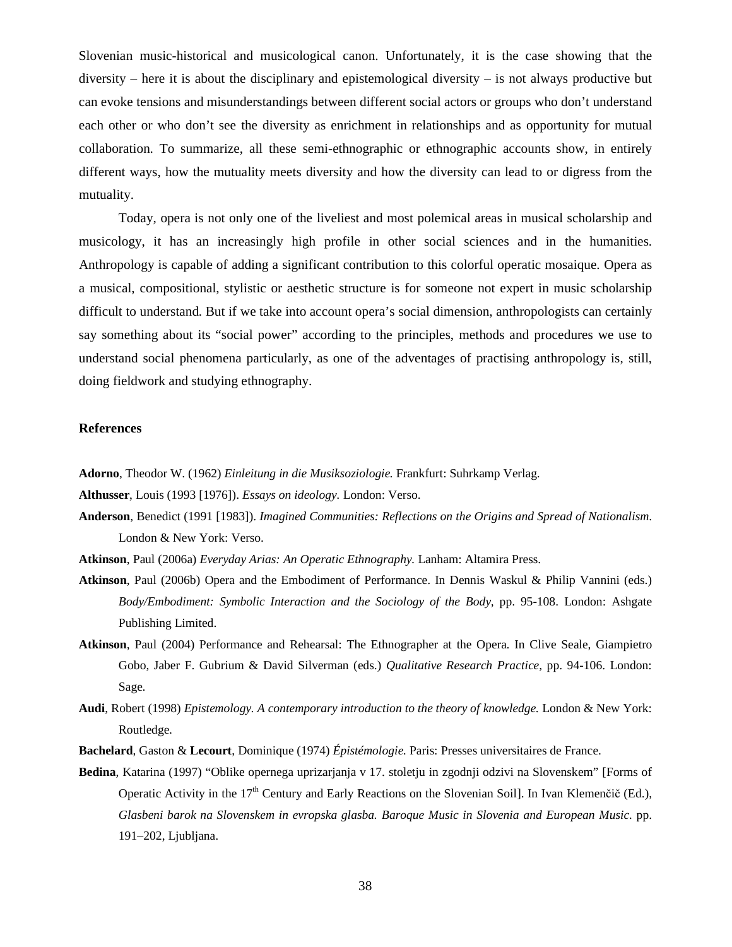Slovenian music-historical and musicological canon. Unfortunately, it is the case showing that the diversity – here it is about the disciplinary and epistemological diversity – is not always productive but can evoke tensions and misunderstandings between different social actors or groups who don't understand each other or who don't see the diversity as enrichment in relationships and as opportunity for mutual collaboration. To summarize, all these semi-ethnographic or ethnographic accounts show, in entirely different ways, how the mutuality meets diversity and how the diversity can lead to or digress from the mutuality.

Today, opera is not only one of the liveliest and most polemical areas in musical scholarship and musicology, it has an increasingly high profile in other social sciences and in the humanities. Anthropology is capable of adding a significant contribution to this colorful operatic mosaique. Opera as a musical, compositional, stylistic or aesthetic structure is for someone not expert in music scholarship difficult to understand. But if we take into account opera's social dimension, anthropologists can certainly say something about its "social power" according to the principles, methods and procedures we use to understand social phenomena particularly, as one of the adventages of practising anthropology is, still, doing fieldwork and studying ethnography.

### **References**

**Adorno**, Theodor W. (1962) *Einleitung in die Musiksoziologie.* Frankfurt: Suhrkamp Verlag.

- **Althusser**, Louis (1993 [1976]). *Essays on ideology.* London: Verso.
- **Anderson**, Benedict (1991 [1983]). *Imagined Communities: Reflections on the Origins and Spread of Nationalism*. London & New York: Verso.
- **Atkinson**, Paul (2006a) *Everyday Arias: An Operatic Ethnography.* Lanham: Altamira Press.
- **Atkinson**, Paul (2006b) Opera and the Embodiment of Performance. In Dennis Waskul & Philip Vannini (eds.) *Body/Embodiment: Symbolic Interaction and the Sociology of the Body,* pp. 95-108. London: Ashgate Publishing Limited.
- **Atkinson**, Paul (2004) Performance and Rehearsal: The Ethnographer at the Opera. In Clive Seale, Giampietro Gobo, Jaber F. Gubrium & David Silverman (eds.) *Qualitative Research Practice,* pp. 94-106. London: Sage.
- **Audi**, Robert (1998) *Epistemology. A contemporary introduction to the theory of knowledge.* London & New York: Routledge.
- **Bachelard**, Gaston & **Lecourt**, Dominique (1974) *Épistémologie.* Paris: Presses universitaires de France.
- **Bedina**, Katarina (1997) "Oblike opernega uprizarjanja v 17. stoletju in zgodnji odzivi na Slovenskem" [Forms of Operatic Activity in the  $17<sup>th</sup>$  Century and Early Reactions on the Slovenian Soil]. In Ivan Klemenčič (Ed.), *Glasbeni barok na Slovenskem in evropska glasba. Baroque Music in Slovenia and European Music.* pp. 191–202, Ljubljana.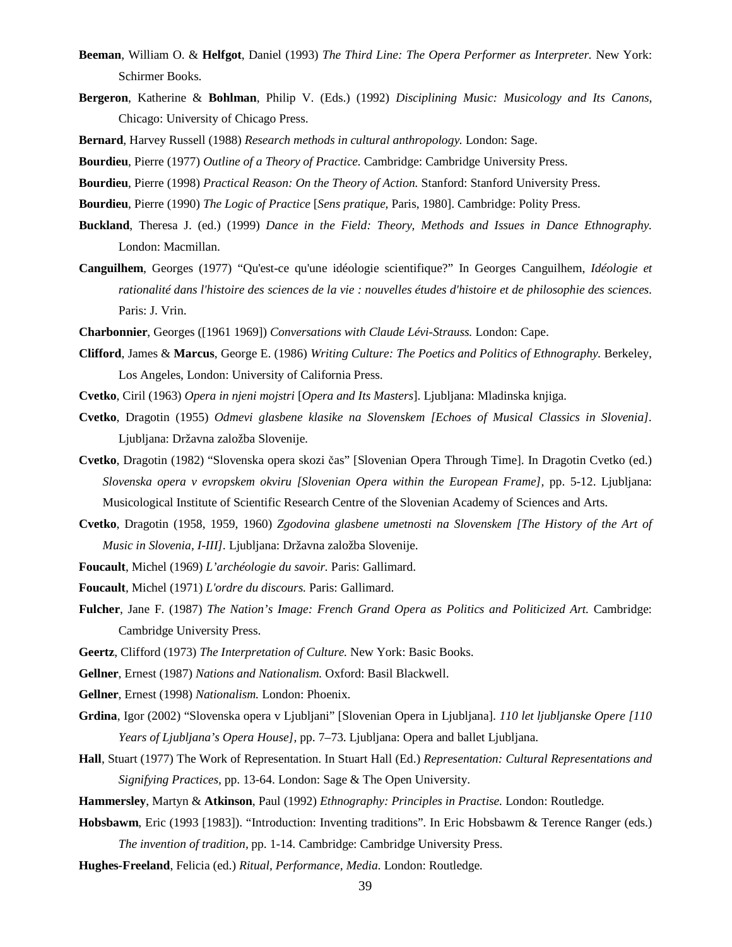- **Beeman**, William O. & **Helfgot**, Daniel (1993) *The Third Line: The Opera Performer as Interpreter.* New York: Schirmer Books.
- **Bergeron**, Katherine & **Bohlman**, Philip V. (Eds.) (1992) *Disciplining Music: Musicology and Its Canons,*  Chicago: University of Chicago Press.
- **Bernard**, Harvey Russell (1988) *Research methods in cultural anthropology.* London: Sage.
- **Bourdieu**, Pierre (1977) *Outline of a Theory of Practice.* Cambridge: Cambridge University Press.
- **Bourdieu**, Pierre (1998) *Practical Reason: On the Theory of Action.* Stanford: Stanford University Press.
- **Bourdieu**, Pierre (1990) *The Logic of Practice* [*Sens pratique,* Paris, 1980]. Cambridge: Polity Press.
- **Buckland**, Theresa J. (ed.) (1999) *Dance in the Field: Theory, Methods and Issues in Dance Ethnography.*  London: Macmillan.
- **Canguilhem**, Georges (1977) "Qu'est-ce qu'une idéologie scientifique?" In Georges Canguilhem, *Idéologie et rationalité dans l'histoire des sciences de la vie : nouvelles études d'histoire et de philosophie des sciences*. Paris: J. Vrin.
- **Charbonnier**, Georges ([1961 1969]) *Conversations with Claude Lévi-Strauss.* London: Cape.
- **Clifford**, James & **Marcus**, George E. (1986) *Writing Culture: The Poetics and Politics of Ethnography.* Berkeley, Los Angeles, London: University of California Press.
- **Cvetko**, Ciril (1963) *Opera in njeni mojstri* [*Opera and Its Masters*]. Ljubljana: Mladinska knjiga.
- **Cvetko**, Dragotin (1955) *Odmevi glasbene klasike na Slovenskem [Echoes of Musical Classics in Slovenia].*  Ljubljana: Državna založba Slovenije.
- **Cvetko**, Dragotin (1982) "Slovenska opera skozi čas" [Slovenian Opera Through Time]. In Dragotin Cvetko (ed.) *Slovenska opera v evropskem okviru [Slovenian Opera within the European Frame],* pp. 5-12. Ljubljana: Musicological Institute of Scientific Research Centre of the Slovenian Academy of Sciences and Arts.
- **Cvetko**, Dragotin (1958, 1959, 1960) *Zgodovina glasbene umetnosti na Slovenskem [The History of the Art of Music in Slovenia, I-III].* Ljubljana: Državna založba Slovenije.
- **Foucault**, Michel (1969) *L'archéologie du savoir.* Paris: Gallimard.
- **Foucault**, Michel (1971) *L'ordre du discours.* Paris: Gallimard.
- **Fulcher**, Jane F. (1987) *The Nation's Image: French Grand Opera as Politics and Politicized Art.* Cambridge: Cambridge University Press.
- **Geertz**, Clifford (1973) *The Interpretation of Culture.* New York: Basic Books.
- **Gellner**, Ernest (1987) *Nations and Nationalism.* Oxford: Basil Blackwell.
- **Gellner**, Ernest (1998) *Nationalism.* London: Phoenix.
- **Grdina**, Igor (2002) "Slovenska opera v Ljubljani" [Slovenian Opera in Ljubljana]. *110 let ljubljanske Opere [110 Years of Ljubljana's Opera House],* pp. 7–73. Ljubljana: Opera and ballet Ljubljana.
- **Hall**, Stuart (1977) The Work of Representation. In Stuart Hall (Ed.) *Representation: Cultural Representations and Signifying Practices,* pp. 13-64. London: Sage & The Open University.
- **Hammersley**, Martyn & **Atkinson**, Paul (1992) *Ethnography: Principles in Practise.* London: Routledge.
- **Hobsbawm**, Eric (1993 [1983]). "Introduction: Inventing traditions". In Eric Hobsbawm & Terence Ranger (eds.) *The invention of tradition,* pp. 1-14*.* Cambridge: Cambridge University Press.
- **Hughes-Freeland**, Felicia (ed.) *Ritual, Performance, Media.* London: Routledge.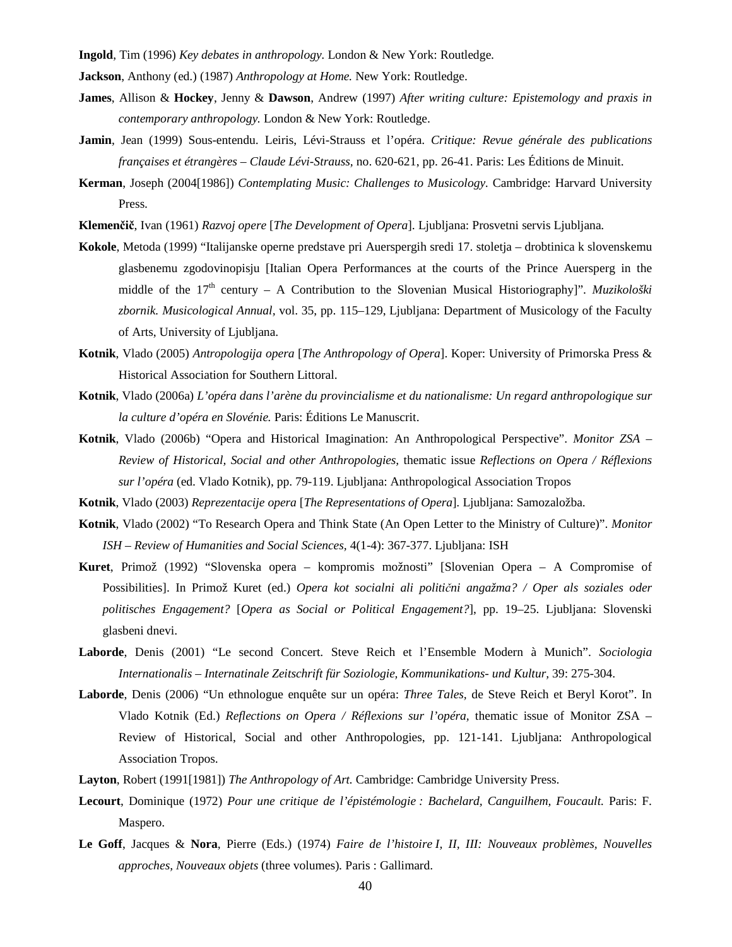**Ingold**, Tim (1996) *Key debates in anthropology.* London & New York: Routledge.

**Jackson**, Anthony (ed.) (1987) *Anthropology at Home.* New York: Routledge.

- **James**, Allison & **Hockey**, Jenny & **Dawson**, Andrew (1997) *After writing culture: Epistemology and praxis in contemporary anthropology.* London & New York: Routledge.
- **Jamin**, Jean (1999) Sous-entendu. Leiris, Lévi-Strauss et l'opéra. *Critique: Revue générale des publications françaises et étrangères – Claude Lévi-Strauss,* no. 620-621, pp. 26-41. Paris: Les Éditions de Minuit.
- **Kerman**, Joseph (2004[1986]) *Contemplating Music: Challenges to Musicology.* Cambridge: Harvard University Press.
- **Klemen**č**i**č, Ivan (1961) *Razvoj opere* [*The Development of Opera*]. Ljubljana: Prosvetni servis Ljubljana.
- **Kokole**, Metoda (1999) "Italijanske operne predstave pri Auerspergih sredi 17. stoletja drobtinica k slovenskemu glasbenemu zgodovinopisju [Italian Opera Performances at the courts of the Prince Auersperg in the middle of the  $17<sup>th</sup>$  century – A Contribution to the Slovenian Musical Historiography]". *Muzikološki zbornik. Musicological Annual,* vol. 35, pp. 115–129, Ljubljana: Department of Musicology of the Faculty of Arts, University of Ljubljana.
- **Kotnik**, Vlado (2005) *Antropologija opera* [*The Anthropology of Opera*]. Koper: University of Primorska Press & Historical Association for Southern Littoral.
- **Kotnik**, Vlado (2006a) *L'opéra dans l'arène du provincialisme et du nationalisme: Un regard anthropologique sur la culture d'opéra en Slovénie.* Paris: Éditions Le Manuscrit.
- **Kotnik**, Vlado (2006b) "Opera and Historical Imagination: An Anthropological Perspective". *Monitor ZSA Review of Historical, Social and other Anthropologies,* thematic issue *Reflections on Opera / Réflexions sur l'opéra* (ed. Vlado Kotnik), pp. 79-119. Ljubljana: Anthropological Association Tropos
- **Kotnik**, Vlado (2003) *Reprezentacije opera* [*The Representations of Opera*]*.* Ljubljana: Samozaložba.
- **Kotnik**, Vlado (2002) "To Research Opera and Think State (An Open Letter to the Ministry of Culture)". *Monitor ISH – Review of Humanities and Social Sciences,* 4(1-4): 367-377. Ljubljana: ISH
- **Kuret**, Primož (1992) "Slovenska opera kompromis možnosti" [Slovenian Opera A Compromise of Possibilities]. In Primož Kuret (ed.) *Opera kot socialni ali politi*č*ni angažma? / Oper als soziales oder politisches Engagement?* [*Opera as Social or Political Engagement?*], pp. 19–25. Ljubljana: Slovenski glasbeni dnevi.
- **Laborde**, Denis (2001) "Le second Concert. Steve Reich et l'Ensemble Modern à Munich". *Sociologia Internationalis – Internatinale Zeitschrift für Soziologie, Kommunikations- und Kultur,* 39: 275-304.
- **Laborde**, Denis (2006) "Un ethnologue enquête sur un opéra: *Three Tales,* de Steve Reich et Beryl Korot". In Vlado Kotnik (Ed.) *Reflections on Opera / Réflexions sur l'opéra,* thematic issue of Monitor ZSA – Review of Historical, Social and other Anthropologies, pp. 121-141. Ljubljana: Anthropological Association Tropos.
- **Layton**, Robert (1991[1981]) *The Anthropology of Art.* Cambridge: Cambridge University Press.
- **Lecourt**, Dominique (1972) *Pour une critique de l'épistémologie : Bachelard, Canguilhem, Foucault.* Paris: F. Maspero.
- **Le Goff**, Jacques & **Nora**, Pierre (Eds.) (1974) *Faire de l'histoire I, II, III: Nouveaux problèmes, Nouvelles approches, Nouveaux objets* (three volumes)*.* Paris : Gallimard.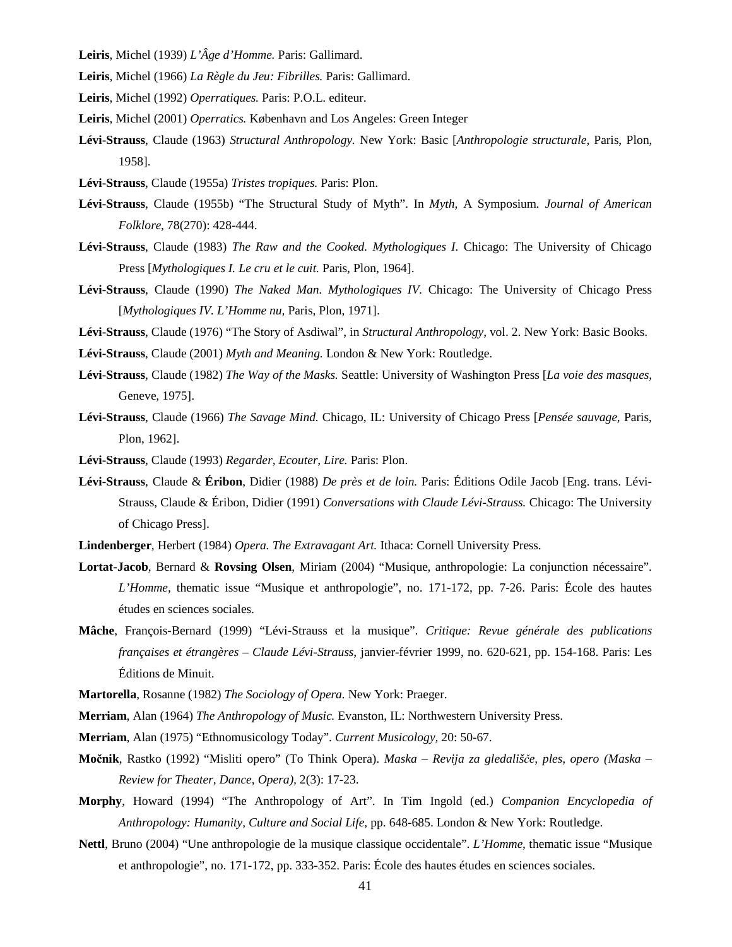- **Leiris**, Michel (1939) *L'Âge d'Homme.* Paris: Gallimard.
- **Leiris**, Michel (1966) *La Règle du Jeu: Fibrilles.* Paris: Gallimard.
- **Leiris**, Michel (1992) *Operratiques.* Paris: P.O.L. editeur.
- **Leiris**, Michel (2001) *Operratics.* København and Los Angeles: Green Integer
- **Lévi-Strauss**, Claude (1963) *Structural Anthropology.* New York: Basic [*Anthropologie structurale,* Paris, Plon, 1958].
- **Lévi-Strauss**, Claude (1955a) *Tristes tropiques.* Paris: Plon.
- **Lévi-Strauss**, Claude (1955b) "The Structural Study of Myth". In *Myth,* A Symposium*. Journal of American Folklore,* 78(270): 428-444.
- **Lévi-Strauss**, Claude (1983) *The Raw and the Cooked. Mythologiques I.* Chicago: The University of Chicago Press [*Mythologiques I. Le cru et le cuit.* Paris, Plon, 1964].
- **Lévi-Strauss**, Claude (1990) *The Naked Man. Mythologiques IV.* Chicago: The University of Chicago Press [*Mythologiques IV. L'Homme nu,* Paris, Plon, 1971].
- **Lévi-Strauss**, Claude (1976) "The Story of Asdiwal", in *Structural Anthropology,* vol. 2. New York: Basic Books.
- **Lévi-Strauss**, Claude (2001) *Myth and Meaning.* London & New York: Routledge.
- **Lévi-Strauss**, Claude (1982) *The Way of the Masks.* Seattle: University of Washington Press [*La voie des masques,*  Geneve, 1975].
- **Lévi-Strauss**, Claude (1966) *The Savage Mind.* Chicago, IL: University of Chicago Press [*Pensée sauvage,* Paris, Plon, 1962].
- **Lévi-Strauss**, Claude (1993) *Regarder, Ecouter, Lire.* Paris: Plon.
- **Lévi-Strauss**, Claude & **Éribon**, Didier (1988) *De près et de loin.* Paris: Éditions Odile Jacob [Eng. trans. Lévi-Strauss, Claude & Éribon, Didier (1991) *Conversations with Claude Lévi-Strauss.* Chicago: The University of Chicago Press].
- **Lindenberger**, Herbert (1984) *Opera. The Extravagant Art.* Ithaca: Cornell University Press.
- **Lortat-Jacob**, Bernard & **Rovsing Olsen**, Miriam (2004) "Musique, anthropologie: La conjunction nécessaire". *L'Homme,* thematic issue "Musique et anthropologie", no. 171-172, pp. 7-26. Paris: École des hautes études en sciences sociales.
- **Mâche**, François-Bernard (1999) "Lévi-Strauss et la musique". *Critique: Revue générale des publications françaises et étrangères – Claude Lévi-Strauss,* janvier-février 1999, no. 620-621, pp. 154-168. Paris: Les Éditions de Minuit.
- **Martorella**, Rosanne (1982) *The Sociology of Opera.* New York: Praeger.
- **Merriam**, Alan (1964) *The Anthropology of Music.* Evanston, IL: Northwestern University Press.
- **Merriam**, Alan (1975) "Ethnomusicology Today". *Current Musicology,* 20: 50-67.
- **Mo**č**nik**, Rastko (1992) "Misliti opero" (To Think Opera). *Maska Revija za gledališ*č*e, ples, opero (Maska Review for Theater, Dance, Opera),* 2(3): 17-23.
- **Morphy**, Howard (1994) "The Anthropology of Art". In Tim Ingold (ed.) *Companion Encyclopedia of Anthropology: Humanity, Culture and Social Life,* pp. 648-685. London & New York: Routledge.
- **Nettl**, Bruno (2004) "Une anthropologie de la musique classique occidentale". *L'Homme,* thematic issue "Musique et anthropologie", no. 171-172, pp. 333-352. Paris: École des hautes études en sciences sociales.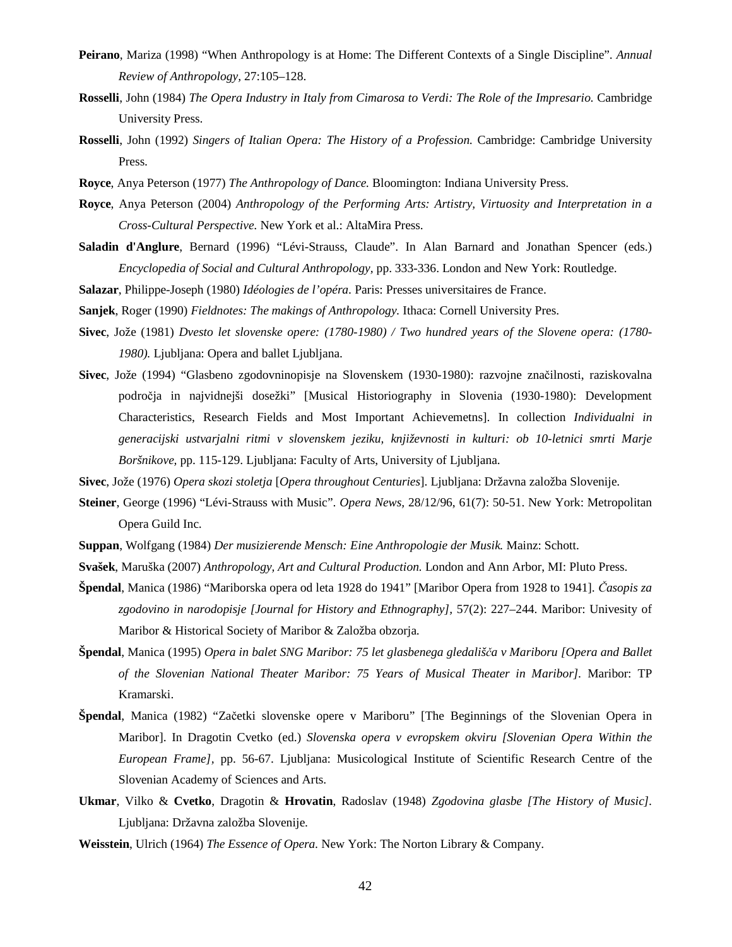- **Peirano**, Mariza (1998) "When Anthropology is at Home: The Different Contexts of a Single Discipline". *Annual Review of Anthropology,* 27:105–128.
- **Rosselli**, John (1984) *The Opera Industry in Italy from Cimarosa to Verdi: The Role of the Impresario.* Cambridge University Press.
- **Rosselli**, John (1992) *Singers of Italian Opera: The History of a Profession.* Cambridge: Cambridge University Press.
- **Royce**, Anya Peterson (1977) *The Anthropology of Dance.* Bloomington: Indiana University Press.
- **Royce**, Anya Peterson (2004) *Anthropology of the Performing Arts: Artistry, Virtuosity and Interpretation in a Cross-Cultural Perspective.* New York et al.: AltaMira Press.
- **Saladin d'Anglure**, Bernard (1996) "Lévi-Strauss, Claude". In Alan Barnard and Jonathan Spencer (eds.) *Encyclopedia of Social and Cultural Anthropology,* pp. 333-336. London and New York: Routledge.
- **Salazar**, Philippe-Joseph (1980) *Idéologies de l'opéra.* Paris: Presses universitaires de France.
- **Sanjek**, Roger (1990) *Fieldnotes: The makings of Anthropology.* Ithaca: Cornell University Pres.
- **Sivec**, Jože (1981) *Dvesto let slovenske opere: (1780-1980) / Two hundred years of the Slovene opera: (1780- 1980).* Ljubljana: Opera and ballet Ljubljana.
- **Sivec**, Jože (1994) "Glasbeno zgodovninopisje na Slovenskem (1930-1980): razvojne značilnosti, raziskovalna področja in najvidnejši dosežki" [Musical Historiography in Slovenia (1930-1980): Development Characteristics, Research Fields and Most Important Achievemetns]. In collection *Individualni in generacijski ustvarjalni ritmi v slovenskem jeziku, književnosti in kulturi: ob 10-letnici smrti Marje Boršnikove,* pp. 115-129. Ljubljana: Faculty of Arts, University of Ljubljana.
- **Sivec**, Jože (1976) *Opera skozi stoletja* [*Opera throughout Centuries*]. Ljubljana: Državna založba Slovenije.
- **Steiner**, George (1996) "Lévi-Strauss with Music". *Opera News,* 28/12/96, 61(7): 50-51. New York: Metropolitan Opera Guild Inc.
- **Suppan**, Wolfgang (1984) *Der musizierende Mensch: Eine Anthropologie der Musik.* Mainz: Schott.
- **Svašek**, Maruška (2007) *Anthropology, Art and Cultural Production.* London and Ann Arbor, MI: Pluto Press.
- **Špendal**, Manica (1986) "Mariborska opera od leta 1928 do 1941" [Maribor Opera from 1928 to 1941]. Č*asopis za zgodovino in narodopisje [Journal for History and Ethnography],* 57(2): 227–244. Maribor: Univesity of Maribor & Historical Society of Maribor & Založba obzorja.
- **Špendal**, Manica (1995) *Opera in balet SNG Maribor: 75 let glasbenega gledališ*č*a v Mariboru [Opera and Ballet of the Slovenian National Theater Maribor: 75 Years of Musical Theater in Maribor].* Maribor: TP Kramarski.
- **Špendal**, Manica (1982) "Začetki slovenske opere v Mariboru" [The Beginnings of the Slovenian Opera in Maribor]. In Dragotin Cvetko (ed.) *Slovenska opera v evropskem okviru [Slovenian Opera Within the European Frame],* pp. 56-67. Ljubljana: Musicological Institute of Scientific Research Centre of the Slovenian Academy of Sciences and Arts.
- **Ukmar**, Vilko & **Cvetko**, Dragotin & **Hrovatin**, Radoslav (1948) *Zgodovina glasbe [The History of Music].*  Ljubljana: Državna založba Slovenije.
- **Weisstein**, Ulrich (1964) *The Essence of Opera.* New York: The Norton Library & Company.